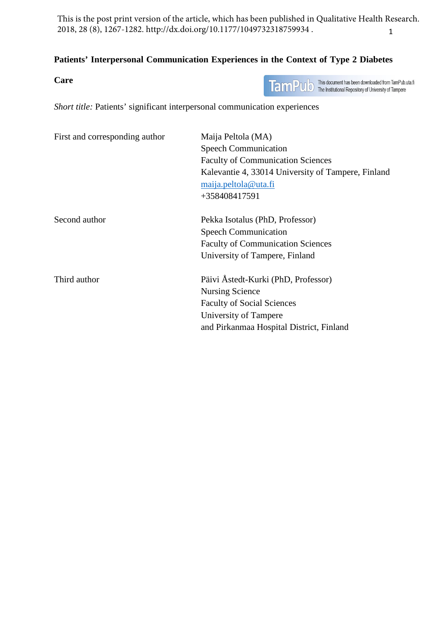1 This is the post print version of the article, which has been published in Qualitative Health Research. 2018, 28 (8), 1267-1282. http://dx.doi.org/10.1177/1049732318759934 .

# **Patients' Interpersonal Communication Experiences in the Context of Type 2 Diabetes**

## **Care**

TamPUD This document has been downloaded from TamPub.uta.fi<br>The Institutional Repository of University of Tampere

*Short title: Patients' significant interpersonal communication experiences* 

| First and corresponding author | Maija Peltola (MA)                                                      |  |  |  |  |
|--------------------------------|-------------------------------------------------------------------------|--|--|--|--|
|                                | <b>Speech Communication</b><br><b>Faculty of Communication Sciences</b> |  |  |  |  |
|                                |                                                                         |  |  |  |  |
|                                | Kalevantie 4, 33014 University of Tampere, Finland                      |  |  |  |  |
|                                | maija.peltola@uta.fi                                                    |  |  |  |  |
|                                | +358408417591                                                           |  |  |  |  |
| Second author                  | Pekka Isotalus (PhD, Professor)                                         |  |  |  |  |
|                                | <b>Speech Communication</b>                                             |  |  |  |  |
|                                | <b>Faculty of Communication Sciences</b>                                |  |  |  |  |
|                                | University of Tampere, Finland                                          |  |  |  |  |
| Third author                   | Päivi Åstedt-Kurki (PhD, Professor)                                     |  |  |  |  |
|                                | Nursing Science                                                         |  |  |  |  |
|                                | <b>Faculty of Social Sciences</b>                                       |  |  |  |  |
|                                | University of Tampere                                                   |  |  |  |  |
|                                | and Pirkanmaa Hospital District, Finland                                |  |  |  |  |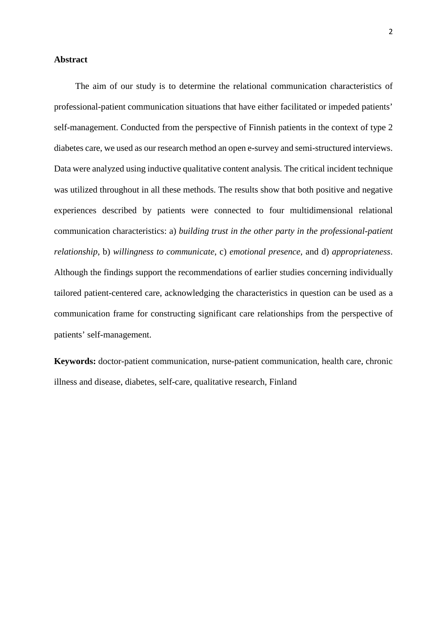#### **Abstract**

The aim of our study is to determine the relational communication characteristics of professional-patient communication situations that have either facilitated or impeded patients' self-management. Conducted from the perspective of Finnish patients in the context of type 2 diabetes care, we used as our research method an open e-survey and semi-structured interviews. Data were analyzed using inductive qualitative content analysis*.* The critical incident technique was utilized throughout in all these methods. The results show that both positive and negative experiences described by patients were connected to four multidimensional relational communication characteristics: a) *building trust in the other party in the professional-patient relationship*, b) *willingness to communicate*, c) *emotional presence,* and d) *appropriateness*. Although the findings support the recommendations of earlier studies concerning individually tailored patient-centered care, acknowledging the characteristics in question can be used as a communication frame for constructing significant care relationships from the perspective of patients' self-management.

**Keywords:** doctor-patient communication, nurse-patient communication, health care, chronic illness and disease, diabetes, self-care, qualitative research, Finland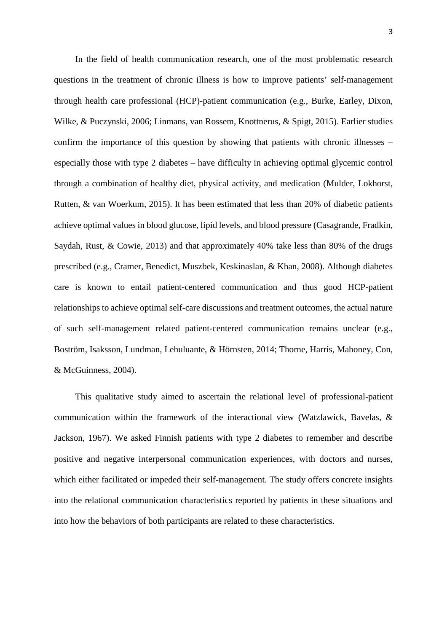In the field of health communication research, one of the most problematic research questions in the treatment of chronic illness is how to improve patients' self-management through health care professional (HCP)-patient communication (e.g., Burke, Earley, Dixon, Wilke, & Puczynski, 2006; Linmans, van Rossem, Knottnerus, & Spigt, 2015). Earlier studies confirm the importance of this question by showing that patients with chronic illnesses – especially those with type 2 diabetes – have difficulty in achieving optimal glycemic control through a combination of healthy diet, physical activity, and medication (Mulder, Lokhorst, Rutten, & van Woerkum, 2015). It has been estimated that less than 20% of diabetic patients achieve optimal values in blood glucose, lipid levels, and blood pressure (Casagrande, Fradkin, Saydah, Rust, & Cowie, 2013) and that approximately 40% take less than 80% of the drugs prescribed (e.g., Cramer, Benedict, Muszbek, Keskinaslan, & Khan, 2008). Although diabetes care is known to entail patient-centered communication and thus good HCP-patient relationships to achieve optimal self-care discussions and treatment outcomes, the actual nature of such self-management related patient-centered communication remains unclear (e.g., Boström, Isaksson, Lundman, Lehuluante, & Hörnsten, 2014; Thorne, Harris, Mahoney, Con, & McGuinness, 2004).

This qualitative study aimed to ascertain the relational level of professional-patient communication within the framework of the interactional view (Watzlawick, Bavelas, & Jackson, 1967). We asked Finnish patients with type 2 diabetes to remember and describe positive and negative interpersonal communication experiences, with doctors and nurses, which either facilitated or impeded their self-management. The study offers concrete insights into the relational communication characteristics reported by patients in these situations and into how the behaviors of both participants are related to these characteristics.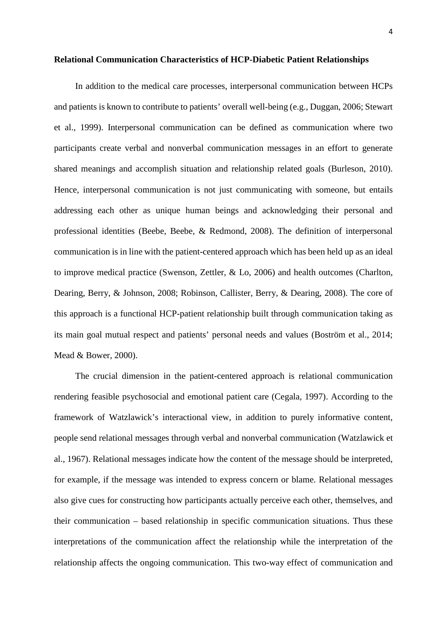In addition to the medical care processes, interpersonal communication between HCPs and patients is known to contribute to patients' overall well-being (e.g., Duggan, 2006; Stewart et al., 1999). Interpersonal communication can be defined as communication where two participants create verbal and nonverbal communication messages in an effort to generate shared meanings and accomplish situation and relationship related goals (Burleson, 2010). Hence, interpersonal communication is not just communicating with someone, but entails addressing each other as unique human beings and acknowledging their personal and professional identities (Beebe, Beebe, & Redmond, 2008). The definition of interpersonal communication is in line with the patient-centered approach which has been held up as an ideal to improve medical practice (Swenson, Zettler, & Lo, 2006) and health outcomes (Charlton, Dearing, Berry, & Johnson, 2008; Robinson, Callister, Berry, & Dearing, 2008). The core of this approach is a functional HCP-patient relationship built through communication taking as its main goal mutual respect and patients' personal needs and values (Boström et al., 2014; Mead & Bower, 2000).

The crucial dimension in the patient-centered approach is relational communication rendering feasible psychosocial and emotional patient care (Cegala, 1997). According to the framework of Watzlawick's interactional view, in addition to purely informative content, people send relational messages through verbal and nonverbal communication (Watzlawick et al., 1967). Relational messages indicate how the content of the message should be interpreted, for example, if the message was intended to express concern or blame. Relational messages also give cues for constructing how participants actually perceive each other, themselves, and their communication – based relationship in specific communication situations. Thus these interpretations of the communication affect the relationship while the interpretation of the relationship affects the ongoing communication. This two-way effect of communication and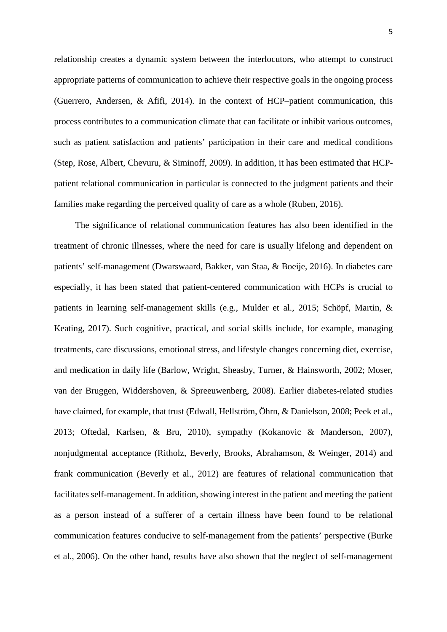relationship creates a dynamic system between the interlocutors, who attempt to construct appropriate patterns of communication to achieve their respective goals in the ongoing process (Guerrero, Andersen, & Afifi, 2014). In the context of HCP–patient communication, this process contributes to a communication climate that can facilitate or inhibit various outcomes, such as patient satisfaction and patients' participation in their care and medical conditions (Step, Rose, Albert, Chevuru, & Siminoff, 2009). In addition, it has been estimated that HCPpatient relational communication in particular is connected to the judgment patients and their families make regarding the perceived quality of care as a whole (Ruben, 2016).

The significance of relational communication features has also been identified in the treatment of chronic illnesses, where the need for care is usually lifelong and dependent on patients' self-management (Dwarswaard, Bakker, van Staa, & Boeije, 2016). In diabetes care especially, it has been stated that patient-centered communication with HCPs is crucial to patients in learning self-management skills (e.g., Mulder et al., 2015; Schöpf, Martin, & Keating, 2017). Such cognitive, practical, and social skills include, for example, managing treatments, care discussions, emotional stress, and lifestyle changes concerning diet, exercise, and medication in daily life (Barlow, Wright, Sheasby, Turner, & Hainsworth, 2002; Moser, van der Bruggen, Widdershoven, & Spreeuwenberg, 2008). Earlier diabetes-related studies have claimed, for example, that trust (Edwall, Hellström, Öhrn, & Danielson, 2008; Peek et al., 2013; Oftedal, Karlsen, & Bru, 2010), sympathy (Kokanovic & Manderson, 2007), nonjudgmental acceptance (Ritholz, Beverly, Brooks, Abrahamson, & Weinger, 2014) and frank communication (Beverly et al., 2012) are features of relational communication that facilitates self-management. In addition, showing interest in the patient and meeting the patient as a person instead of a sufferer of a certain illness have been found to be relational communication features conducive to self-management from the patients' perspective (Burke et al., 2006). On the other hand, results have also shown that the neglect of self-management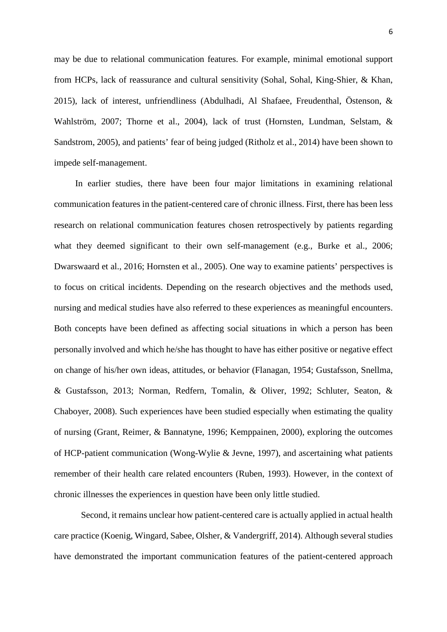may be due to relational communication features. For example, minimal emotional support from HCPs, lack of reassurance and cultural sensitivity (Sohal, Sohal, King-Shier, & Khan, 2015), lack of interest, unfriendliness (Abdulhadi, Al Shafaee, Freudenthal, Östenson, & Wahlström, 2007; Thorne et al., 2004), lack of trust (Hornsten, Lundman, Selstam, & Sandstrom, 2005), and patients' fear of being judged (Ritholz et al., 2014) have been shown to impede self-management.

In earlier studies, there have been four major limitations in examining relational communication features in the patient-centered care of chronic illness. First, there has been less research on relational communication features chosen retrospectively by patients regarding what they deemed significant to their own self-management (e.g., Burke et al., 2006; Dwarswaard et al., 2016; Hornsten et al., 2005). One way to examine patients' perspectives is to focus on critical incidents. Depending on the research objectives and the methods used, nursing and medical studies have also referred to these experiences as meaningful encounters. Both concepts have been defined as affecting social situations in which a person has been personally involved and which he/she has thought to have has either positive or negative effect on change of his/her own ideas, attitudes, or behavior (Flanagan, 1954; Gustafsson, Snellma, & Gustafsson, 2013; Norman, Redfern, Tomalin, & Oliver, 1992; Schluter, Seaton, & Chaboyer, 2008). Such experiences have been studied especially when estimating the quality of nursing (Grant, Reimer, & Bannatyne, 1996; Kemppainen, 2000), exploring the outcomes of HCP-patient communication (Wong-Wylie & Jevne, 1997), and ascertaining what patients remember of their health care related encounters (Ruben, 1993). However, in the context of chronic illnesses the experiences in question have been only little studied.

Second, it remains unclear how patient-centered care is actually applied in actual health care practice (Koenig, Wingard, Sabee, Olsher, & Vandergriff, 2014). Although several studies have demonstrated the important communication features of the patient-centered approach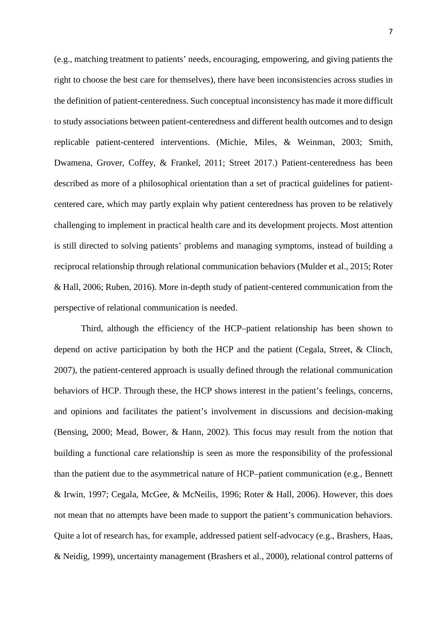(e.g., matching treatment to patients' needs, encouraging, empowering, and giving patients the right to choose the best care for themselves), there have been inconsistencies across studies in the definition of patient-centeredness. Such conceptual inconsistency has made it more difficult to study associations between patient-centeredness and different health outcomes and to design replicable patient-centered interventions. (Michie, Miles, & Weinman, 2003; Smith, Dwamena, Grover, Coffey, & Frankel, 2011; Street 2017.) Patient-centeredness has been described as more of a philosophical orientation than a set of practical guidelines for patientcentered care, which may partly explain why patient centeredness has proven to be relatively challenging to implement in practical health care and its development projects. Most attention is still directed to solving patients' problems and managing symptoms, instead of building a reciprocal relationship through relational communication behaviors (Mulder et al., 2015; Roter & Hall, 2006; Ruben, 2016). More in-depth study of patient-centered communication from the perspective of relational communication is needed.

Third, although the efficiency of the HCP–patient relationship has been shown to depend on active participation by both the HCP and the patient (Cegala, Street, & Clinch, 2007), the patient-centered approach is usually defined through the relational communication behaviors of HCP. Through these, the HCP shows interest in the patient's feelings, concerns, and opinions and facilitates the patient's involvement in discussions and decision-making (Bensing, 2000; Mead, Bower, & Hann, 2002). This focus may result from the notion that building a functional care relationship is seen as more the responsibility of the professional than the patient due to the asymmetrical nature of HCP–patient communication (e.g., Bennett & Irwin, 1997; Cegala, McGee, & McNeilis, 1996; Roter & Hall, 2006). However, this does not mean that no attempts have been made to support the patient's communication behaviors. Quite a lot of research has, for example, addressed patient self-advocacy (e.g., Brashers, Haas, & Neidig, 1999), uncertainty management (Brashers et al., 2000), relational control patterns of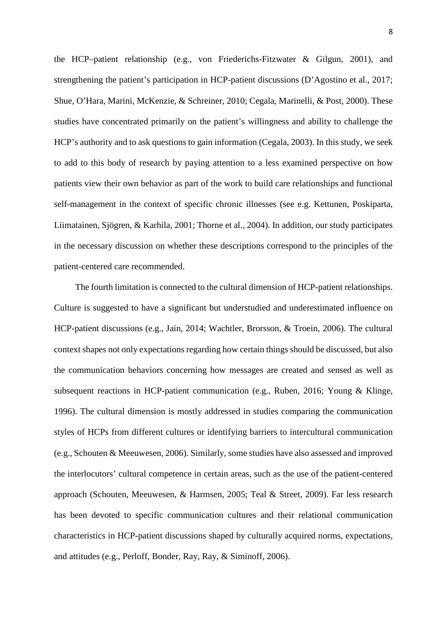the HCP–patient relationship (e.g., von Friederichs-Fitzwater & Gilgun, 2001), and strengthening the patient's participation in HCP-patient discussions (D'Agostino et al., 2017; Shue, O'Hara, Marini, McKenzie, & Schreiner, 2010; Cegala, Marinelli, & Post, 2000). These studies have concentrated primarily on the patient's willingness and ability to challenge the HCP's authority and to ask questions to gain information (Cegala, 2003). In this study, we seek to add to this body of research by paying attention to a less examined perspective on how patients view their own behavior as part of the work to build care relationships and functional self-management in the context of specific chronic illnesses (see e.g. Kettunen, Poskiparta, Liimatainen, Sjögren, & Karhila, 2001; Thorne et al., 2004). In addition, our study participates in the necessary discussion on whether these descriptions correspond to the principles of the patient-centered care recommended.

The fourth limitation is connected to the cultural dimension of HCP-patient relationships. Culture is suggested to have a significant but understudied and underestimated influence on HCP-patient discussions (e.g., Jain, 2014; Wachtler, Brorsson, & Troein, 2006). The cultural context shapes not only expectations regarding how certain things should be discussed, but also the communication behaviors concerning how messages are created and sensed as well as subsequent reactions in HCP-patient communication (e.g., Ruben, 2016; Young & Klinge, 1996). The cultural dimension is mostly addressed in studies comparing the communication styles of HCPs from different cultures or identifying barriers to intercultural communication (e.g., Schouten & Meeuwesen, 2006). Similarly, some studies have also assessed and improved the interlocutors' cultural competence in certain areas, such as the use of the patient-centered approach (Schouten, Meeuwesen, & Harmsen, 2005; Teal & Street, 2009). Far less research has been devoted to specific communication cultures and their relational communication characteristics in HCP-patient discussions shaped by culturally acquired norms, expectations, and attitudes (e.g., Perloff, Bonder, Ray, Ray, & Siminoff, 2006).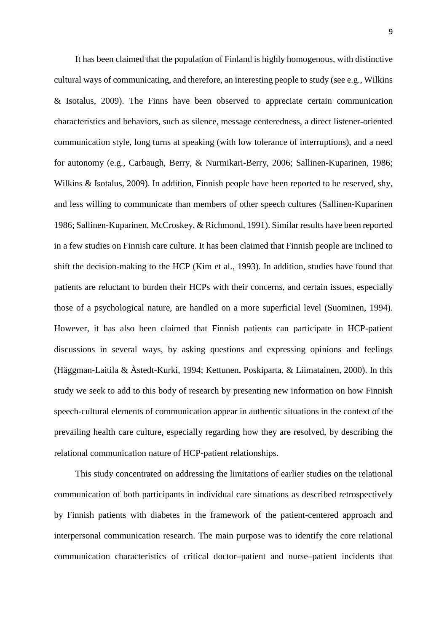It has been claimed that the population of Finland is highly homogenous, with distinctive cultural ways of communicating, and therefore, an interesting people to study (see e.g., Wilkins & Isotalus, 2009). The Finns have been observed to appreciate certain communication characteristics and behaviors, such as silence, message centeredness, a direct listener-oriented communication style, long turns at speaking (with low tolerance of interruptions), and a need for autonomy (e.g., Carbaugh, Berry, & Nurmikari-Berry, 2006; Sallinen-Kuparinen, 1986; Wilkins & Isotalus, 2009). In addition, Finnish people have been reported to be reserved, shy, and less willing to communicate than members of other speech cultures (Sallinen-Kuparinen 1986; Sallinen-Kuparinen, McCroskey, & Richmond, 1991). Similar results have been reported in a few studies on Finnish care culture. It has been claimed that Finnish people are inclined to shift the decision-making to the HCP (Kim et al., 1993). In addition, studies have found that patients are reluctant to burden their HCPs with their concerns, and certain issues, especially those of a psychological nature, are handled on a more superficial level (Suominen, 1994). However, it has also been claimed that Finnish patients can participate in HCP-patient discussions in several ways, by asking questions and expressing opinions and feelings (Häggman-Laitila & Åstedt-Kurki, 1994; Kettunen, Poskiparta, & Liimatainen, 2000). In this study we seek to add to this body of research by presenting new information on how Finnish speech-cultural elements of communication appear in authentic situations in the context of the prevailing health care culture, especially regarding how they are resolved, by describing the relational communication nature of HCP-patient relationships.

This study concentrated on addressing the limitations of earlier studies on the relational communication of both participants in individual care situations as described retrospectively by Finnish patients with diabetes in the framework of the patient-centered approach and interpersonal communication research. The main purpose was to identify the core relational communication characteristics of critical doctor–patient and nurse–patient incidents that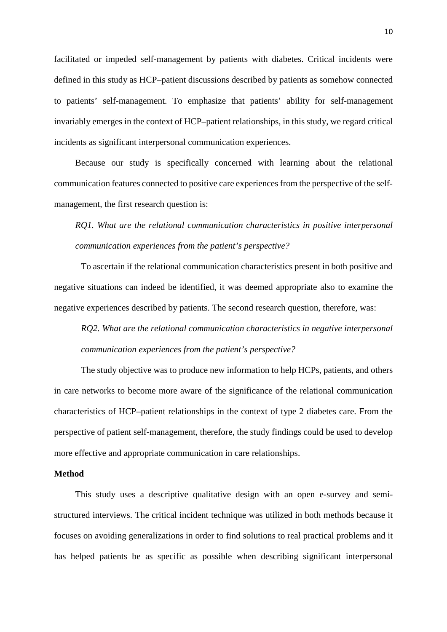facilitated or impeded self-management by patients with diabetes. Critical incidents were defined in this study as HCP–patient discussions described by patients as somehow connected to patients' self-management. To emphasize that patients' ability for self-management invariably emerges in the context of HCP–patient relationships, in this study, we regard critical incidents as significant interpersonal communication experiences.

Because our study is specifically concerned with learning about the relational communication features connected to positive care experiences from the perspective of the selfmanagement, the first research question is:

*RQ1. What are the relational communication characteristics in positive interpersonal communication experiences from the patient's perspective?*

To ascertain if the relational communication characteristics present in both positive and negative situations can indeed be identified, it was deemed appropriate also to examine the negative experiences described by patients. The second research question, therefore, was:

*RQ2. What are the relational communication characteristics in negative interpersonal communication experiences from the patient's perspective?*

The study objective was to produce new information to help HCPs, patients, and others in care networks to become more aware of the significance of the relational communication characteristics of HCP–patient relationships in the context of type 2 diabetes care. From the perspective of patient self-management, therefore, the study findings could be used to develop more effective and appropriate communication in care relationships.

#### **Method**

This study uses a descriptive qualitative design with an open e-survey and semistructured interviews. The critical incident technique was utilized in both methods because it focuses on avoiding generalizations in order to find solutions to real practical problems and it has helped patients be as specific as possible when describing significant interpersonal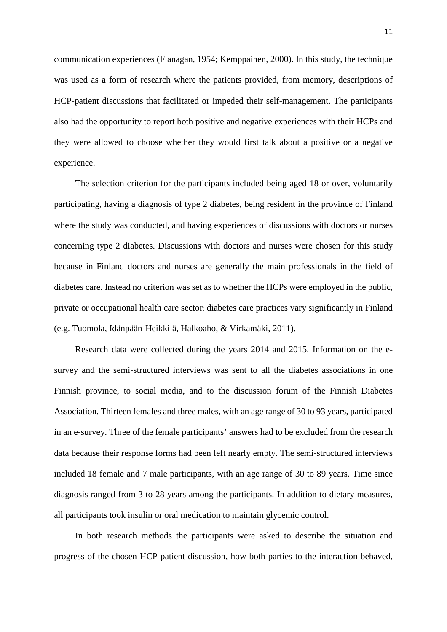communication experiences (Flanagan, 1954; Kemppainen, 2000). In this study, the technique was used as a form of research where the patients provided, from memory, descriptions of HCP-patient discussions that facilitated or impeded their self-management. The participants also had the opportunity to report both positive and negative experiences with their HCPs and they were allowed to choose whether they would first talk about a positive or a negative experience.

The selection criterion for the participants included being aged 18 or over, voluntarily participating, having a diagnosis of type 2 diabetes, being resident in the province of Finland where the study was conducted, and having experiences of discussions with doctors or nurses concerning type 2 diabetes. Discussions with doctors and nurses were chosen for this study because in Finland doctors and nurses are generally the main professionals in the field of diabetes care. Instead no criterion was set as to whether the HCPs were employed in the public, private or occupational health care sector; diabetes care practices vary significantly in Finland (e.g. Tuomola, Idänpään-Heikkilä, Halkoaho, & Virkamäki, 2011).

Research data were collected during the years 2014 and 2015. Information on the esurvey and the semi-structured interviews was sent to all the diabetes associations in one Finnish province, to social media, and to the discussion forum of the Finnish Diabetes Association. Thirteen females and three males, with an age range of 30 to 93 years, participated in an e-survey. Three of the female participants' answers had to be excluded from the research data because their response forms had been left nearly empty. The semi-structured interviews included 18 female and 7 male participants, with an age range of 30 to 89 years. Time since diagnosis ranged from 3 to 28 years among the participants. In addition to dietary measures, all participants took insulin or oral medication to maintain glycemic control.

In both research methods the participants were asked to describe the situation and progress of the chosen HCP-patient discussion, how both parties to the interaction behaved,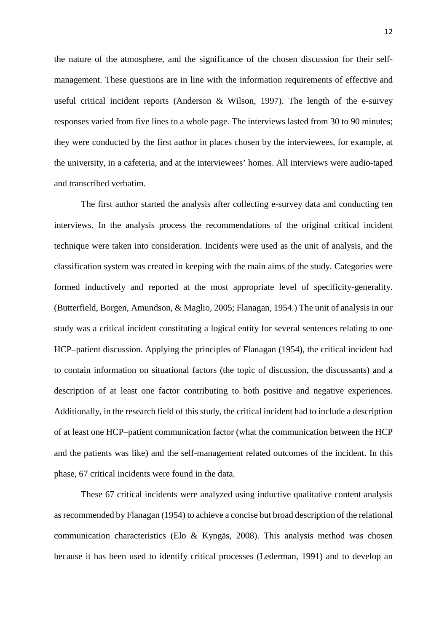the nature of the atmosphere, and the significance of the chosen discussion for their selfmanagement. These questions are in line with the information requirements of effective and useful critical incident reports (Anderson & Wilson, 1997). The length of the e-survey responses varied from five lines to a whole page. The interviews lasted from 30 to 90 minutes; they were conducted by the first author in places chosen by the interviewees, for example, at the university, in a cafeteria, and at the interviewees' homes. All interviews were audio-taped and transcribed verbatim.

The first author started the analysis after collecting e-survey data and conducting ten interviews. In the analysis process the recommendations of the original critical incident technique were taken into consideration. Incidents were used as the unit of analysis, and the classification system was created in keeping with the main aims of the study. Categories were formed inductively and reported at the most appropriate level of specificity-generality. (Butterfield, Borgen, Amundson, & Maglio, 2005; Flanagan, 1954.) The unit of analysis in our study was a critical incident constituting a logical entity for several sentences relating to one HCP–patient discussion. Applying the principles of Flanagan (1954), the critical incident had to contain information on situational factors (the topic of discussion, the discussants) and a description of at least one factor contributing to both positive and negative experiences. Additionally, in the research field of this study, the critical incident had to include a description of at least one HCP–patient communication factor (what the communication between the HCP and the patients was like) and the self-management related outcomes of the incident. In this phase, 67 critical incidents were found in the data.

These 67 critical incidents were analyzed using inductive qualitative content analysis as recommended by Flanagan (1954) to achieve a concise but broad description of the relational communication characteristics (Elo & Kyngäs, 2008). This analysis method was chosen because it has been used to identify critical processes (Lederman, 1991) and to develop an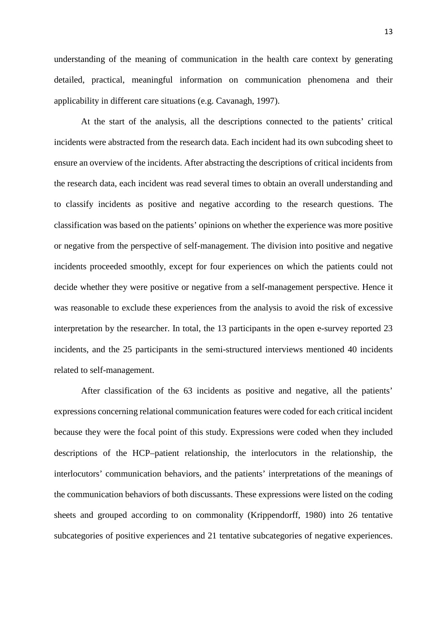understanding of the meaning of communication in the health care context by generating detailed, practical, meaningful information on communication phenomena and their applicability in different care situations (e.g. Cavanagh, 1997).

At the start of the analysis, all the descriptions connected to the patients' critical incidents were abstracted from the research data. Each incident had its own subcoding sheet to ensure an overview of the incidents. After abstracting the descriptions of critical incidents from the research data, each incident was read several times to obtain an overall understanding and to classify incidents as positive and negative according to the research questions. The classification was based on the patients' opinions on whether the experience was more positive or negative from the perspective of self-management. The division into positive and negative incidents proceeded smoothly, except for four experiences on which the patients could not decide whether they were positive or negative from a self-management perspective. Hence it was reasonable to exclude these experiences from the analysis to avoid the risk of excessive interpretation by the researcher. In total, the 13 participants in the open e-survey reported 23 incidents, and the 25 participants in the semi-structured interviews mentioned 40 incidents related to self-management.

After classification of the 63 incidents as positive and negative, all the patients' expressions concerning relational communication features were coded for each critical incident because they were the focal point of this study. Expressions were coded when they included descriptions of the HCP–patient relationship, the interlocutors in the relationship, the interlocutors' communication behaviors, and the patients' interpretations of the meanings of the communication behaviors of both discussants. These expressions were listed on the coding sheets and grouped according to on commonality (Krippendorff, 1980) into 26 tentative subcategories of positive experiences and 21 tentative subcategories of negative experiences.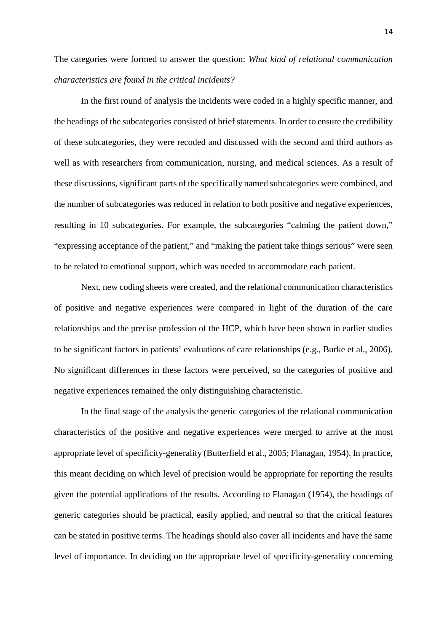The categories were formed to answer the question: *What kind of relational communication characteristics are found in the critical incidents?*

In the first round of analysis the incidents were coded in a highly specific manner, and the headings of the subcategories consisted of brief statements. In order to ensure the credibility of these subcategories, they were recoded and discussed with the second and third authors as well as with researchers from communication, nursing, and medical sciences. As a result of these discussions, significant parts of the specifically named subcategories were combined, and the number of subcategories was reduced in relation to both positive and negative experiences, resulting in 10 subcategories. For example, the subcategories "calming the patient down," "expressing acceptance of the patient," and "making the patient take things serious" were seen to be related to emotional support, which was needed to accommodate each patient.

Next, new coding sheets were created, and the relational communication characteristics of positive and negative experiences were compared in light of the duration of the care relationships and the precise profession of the HCP, which have been shown in earlier studies to be significant factors in patients' evaluations of care relationships (e.g., Burke et al., 2006). No significant differences in these factors were perceived, so the categories of positive and negative experiences remained the only distinguishing characteristic.

In the final stage of the analysis the generic categories of the relational communication characteristics of the positive and negative experiences were merged to arrive at the most appropriate level of specificity-generality (Butterfield et al., 2005; Flanagan, 1954). In practice, this meant deciding on which level of precision would be appropriate for reporting the results given the potential applications of the results. According to Flanagan (1954), the headings of generic categories should be practical, easily applied, and neutral so that the critical features can be stated in positive terms. The headings should also cover all incidents and have the same level of importance. In deciding on the appropriate level of specificity-generality concerning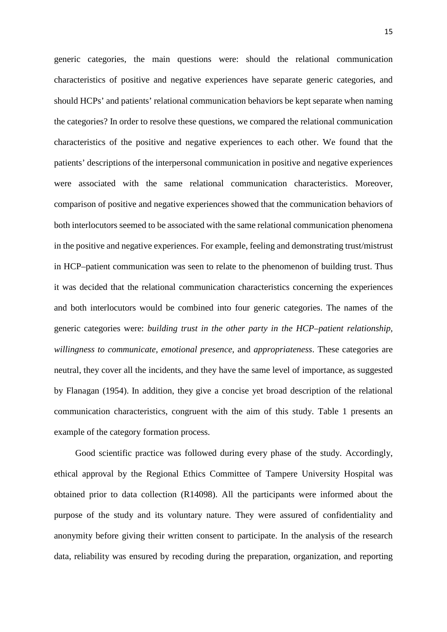generic categories, the main questions were: should the relational communication characteristics of positive and negative experiences have separate generic categories, and should HCPs' and patients' relational communication behaviors be kept separate when naming the categories? In order to resolve these questions, we compared the relational communication characteristics of the positive and negative experiences to each other. We found that the patients' descriptions of the interpersonal communication in positive and negative experiences were associated with the same relational communication characteristics. Moreover, comparison of positive and negative experiences showed that the communication behaviors of both interlocutors seemed to be associated with the same relational communication phenomena in the positive and negative experiences. For example, feeling and demonstrating trust/mistrust in HCP–patient communication was seen to relate to the phenomenon of building trust. Thus it was decided that the relational communication characteristics concerning the experiences and both interlocutors would be combined into four generic categories. The names of the generic categories were: *building trust in the other party in the HCP–patient relationship, willingness to communicate, emotional presence*, and *appropriateness*. These categories are neutral, they cover all the incidents, and they have the same level of importance, as suggested by Flanagan (1954). In addition, they give a concise yet broad description of the relational communication characteristics, congruent with the aim of this study. Table 1 presents an example of the category formation process.

Good scientific practice was followed during every phase of the study. Accordingly, ethical approval by the Regional Ethics Committee of Tampere University Hospital was obtained prior to data collection (R14098). All the participants were informed about the purpose of the study and its voluntary nature. They were assured of confidentiality and anonymity before giving their written consent to participate. In the analysis of the research data, reliability was ensured by recoding during the preparation, organization, and reporting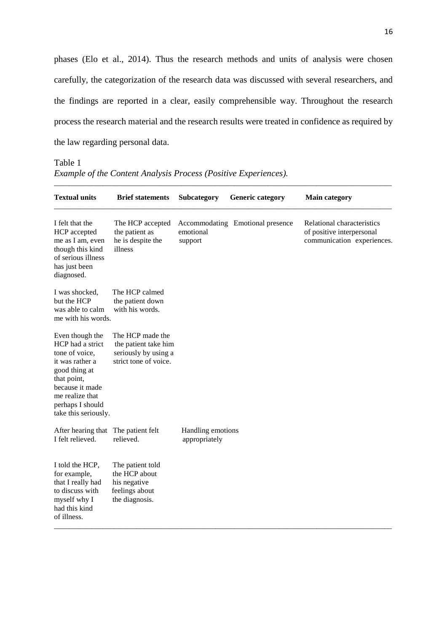phases (Elo et al., 2014). Thus the research methods and units of analysis were chosen carefully, the categorization of the research data was discussed with several researchers, and the findings are reported in a clear, easily comprehensible way. Throughout the research process the research material and the research results were treated in confidence as required by the law regarding personal data.

\_\_\_\_\_\_\_\_\_\_\_\_\_\_\_\_\_\_\_\_\_\_\_\_\_\_\_\_\_\_\_\_\_\_\_\_\_\_\_\_\_\_\_\_\_\_\_\_\_\_\_\_\_\_\_\_\_\_\_\_\_\_\_\_\_\_\_\_\_\_\_\_\_\_\_\_\_\_\_\_\_\_\_\_\_\_\_\_\_\_

Table 1

|  |  |  | Example of the Content Analysis Process (Positive Experiences). |  |
|--|--|--|-----------------------------------------------------------------|--|
|  |  |  |                                                                 |  |

| <b>Textual units</b>                                                                                                                                                                       | <b>Brief statements</b>                                                                   | Subcategory                        | <b>Generic category</b>          | <b>Main category</b>                                                                  |
|--------------------------------------------------------------------------------------------------------------------------------------------------------------------------------------------|-------------------------------------------------------------------------------------------|------------------------------------|----------------------------------|---------------------------------------------------------------------------------------|
| I felt that the<br>HCP accepted<br>me as I am, even<br>though this kind<br>of serious illness<br>has just been<br>diagnosed.                                                               | The HCP accepted<br>the patient as<br>he is despite the<br>illness                        | emotional<br>support               | Accommodating Emotional presence | Relational characteristics<br>of positive interpersonal<br>communication experiences. |
| I was shocked,<br>but the HCP<br>was able to calm<br>me with his words.                                                                                                                    | The HCP calmed<br>the patient down<br>with his words.                                     |                                    |                                  |                                                                                       |
| Even though the<br>HCP had a strict<br>tone of voice,<br>it was rather a<br>good thing at<br>that point,<br>because it made<br>me realize that<br>perhaps I should<br>take this seriously. | The HCP made the<br>the patient take him<br>seriously by using a<br>strict tone of voice. |                                    |                                  |                                                                                       |
| After hearing that The patient felt<br>I felt relieved.                                                                                                                                    | relieved.                                                                                 | Handling emotions<br>appropriately |                                  |                                                                                       |
| I told the HCP,<br>for example,<br>that I really had<br>to discuss with<br>myself why I<br>had this kind<br>of illness.                                                                    | The patient told<br>the HCP about<br>his negative<br>feelings about<br>the diagnosis.     |                                    |                                  |                                                                                       |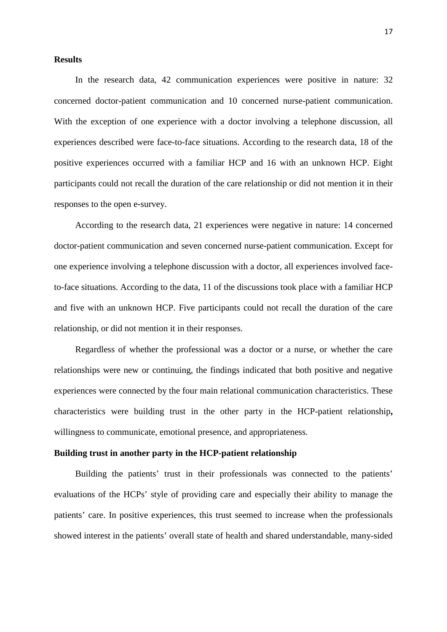#### **Results**

In the research data, 42 communication experiences were positive in nature: 32 concerned doctor-patient communication and 10 concerned nurse-patient communication. With the exception of one experience with a doctor involving a telephone discussion, all experiences described were face-to-face situations. According to the research data, 18 of the positive experiences occurred with a familiar HCP and 16 with an unknown HCP. Eight participants could not recall the duration of the care relationship or did not mention it in their responses to the open e-survey.

According to the research data, 21 experiences were negative in nature: 14 concerned doctor-patient communication and seven concerned nurse-patient communication. Except for one experience involving a telephone discussion with a doctor, all experiences involved faceto-face situations. According to the data, 11 of the discussions took place with a familiar HCP and five with an unknown HCP. Five participants could not recall the duration of the care relationship, or did not mention it in their responses.

Regardless of whether the professional was a doctor or a nurse, or whether the care relationships were new or continuing, the findings indicated that both positive and negative experiences were connected by the four main relational communication characteristics. These characteristics were building trust in the other party in the HCP-patient relationship**,**  willingness to communicate, emotional presence, and appropriateness.

#### **Building trust in another party in the HCP-patient relationship**

Building the patients' trust in their professionals was connected to the patients' evaluations of the HCPs' style of providing care and especially their ability to manage the patients' care. In positive experiences, this trust seemed to increase when the professionals showed interest in the patients' overall state of health and shared understandable, many-sided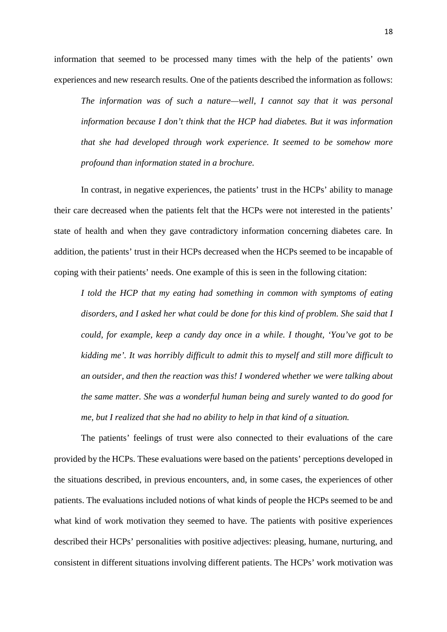information that seemed to be processed many times with the help of the patients' own experiences and new research results. One of the patients described the information as follows:

*The information was of such a nature—well, I cannot say that it was personal information because I don't think that the HCP had diabetes. But it was information that she had developed through work experience. It seemed to be somehow more profound than information stated in a brochure.*

In contrast, in negative experiences, the patients' trust in the HCPs' ability to manage their care decreased when the patients felt that the HCPs were not interested in the patients' state of health and when they gave contradictory information concerning diabetes care. In addition, the patients' trust in their HCPs decreased when the HCPs seemed to be incapable of coping with their patients' needs. One example of this is seen in the following citation:

*I told the HCP that my eating had something in common with symptoms of eating disorders, and I asked her what could be done for this kind of problem. She said that I could, for example, keep a candy day once in a while. I thought, 'You've got to be kidding me'. It was horribly difficult to admit this to myself and still more difficult to an outsider, and then the reaction was this! I wondered whether we were talking about the same matter. She was a wonderful human being and surely wanted to do good for me, but I realized that she had no ability to help in that kind of a situation.*

The patients' feelings of trust were also connected to their evaluations of the care provided by the HCPs. These evaluations were based on the patients' perceptions developed in the situations described, in previous encounters, and, in some cases, the experiences of other patients. The evaluations included notions of what kinds of people the HCPs seemed to be and what kind of work motivation they seemed to have. The patients with positive experiences described their HCPs' personalities with positive adjectives: pleasing, humane, nurturing, and consistent in different situations involving different patients. The HCPs' work motivation was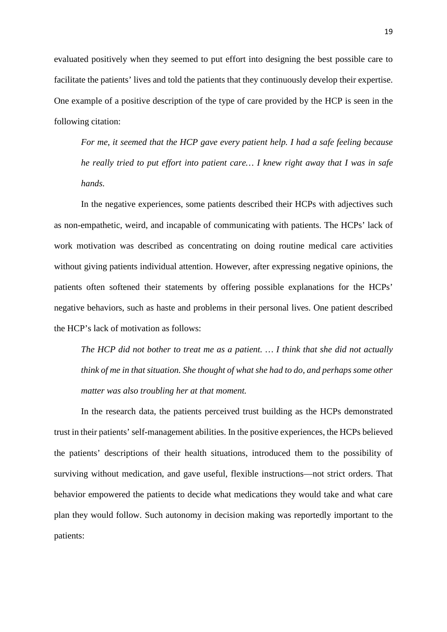evaluated positively when they seemed to put effort into designing the best possible care to facilitate the patients' lives and told the patients that they continuously develop their expertise. One example of a positive description of the type of care provided by the HCP is seen in the following citation:

*For me, it seemed that the HCP gave every patient help. I had a safe feeling because he really tried to put effort into patient care… I knew right away that I was in safe hands.*

In the negative experiences, some patients described their HCPs with adjectives such as non-empathetic, weird, and incapable of communicating with patients. The HCPs' lack of work motivation was described as concentrating on doing routine medical care activities without giving patients individual attention. However, after expressing negative opinions, the patients often softened their statements by offering possible explanations for the HCPs' negative behaviors, such as haste and problems in their personal lives. One patient described the HCP's lack of motivation as follows:

*The HCP did not bother to treat me as a patient. … I think that she did not actually think of me in that situation. She thought of what she had to do, and perhaps some other matter was also troubling her at that moment.*

In the research data, the patients perceived trust building as the HCPs demonstrated trust in their patients' self-management abilities. In the positive experiences, the HCPs believed the patients' descriptions of their health situations, introduced them to the possibility of surviving without medication, and gave useful, flexible instructions—not strict orders. That behavior empowered the patients to decide what medications they would take and what care plan they would follow. Such autonomy in decision making was reportedly important to the patients: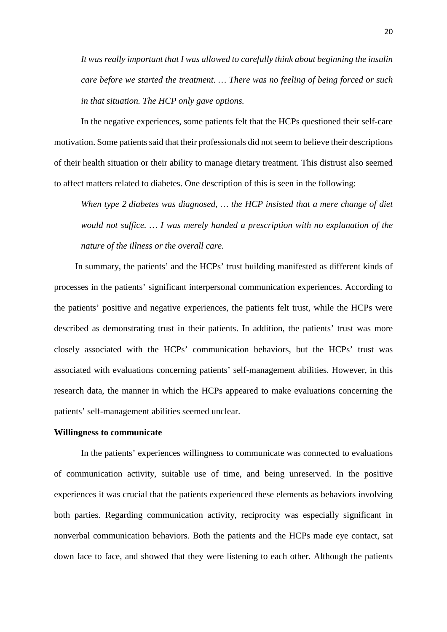*It was really important that I was allowed to carefully think about beginning the insulin care before we started the treatment. … There was no feeling of being forced or such in that situation. The HCP only gave options.*

In the negative experiences, some patients felt that the HCPs questioned their self-care motivation. Some patients said that their professionals did not seem to believe their descriptions of their health situation or their ability to manage dietary treatment. This distrust also seemed to affect matters related to diabetes. One description of this is seen in the following:

*When type 2 diabetes was diagnosed, … the HCP insisted that a mere change of diet would not suffice. … I was merely handed a prescription with no explanation of the nature of the illness or the overall care.*

In summary, the patients' and the HCPs' trust building manifested as different kinds of processes in the patients' significant interpersonal communication experiences. According to the patients' positive and negative experiences, the patients felt trust, while the HCPs were described as demonstrating trust in their patients. In addition, the patients' trust was more closely associated with the HCPs' communication behaviors, but the HCPs' trust was associated with evaluations concerning patients' self-management abilities. However, in this research data, the manner in which the HCPs appeared to make evaluations concerning the patients' self-management abilities seemed unclear.

## **Willingness to communicate**

In the patients' experiences willingness to communicate was connected to evaluations of communication activity, suitable use of time, and being unreserved. In the positive experiences it was crucial that the patients experienced these elements as behaviors involving both parties. Regarding communication activity, reciprocity was especially significant in nonverbal communication behaviors. Both the patients and the HCPs made eye contact, sat down face to face, and showed that they were listening to each other. Although the patients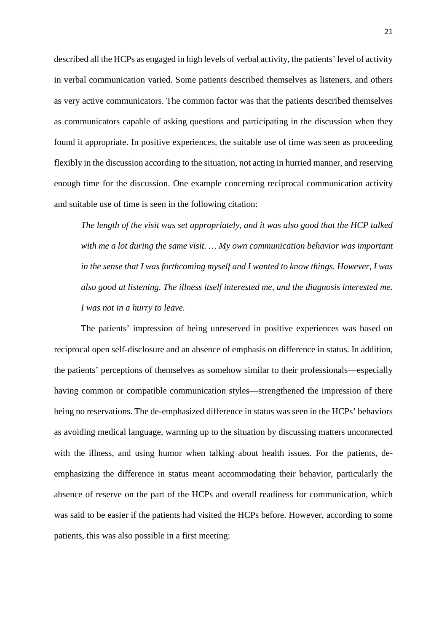described all the HCPs as engaged in high levels of verbal activity, the patients' level of activity in verbal communication varied. Some patients described themselves as listeners, and others as very active communicators. The common factor was that the patients described themselves as communicators capable of asking questions and participating in the discussion when they found it appropriate. In positive experiences, the suitable use of time was seen as proceeding flexibly in the discussion according to the situation, not acting in hurried manner, and reserving enough time for the discussion. One example concerning reciprocal communication activity and suitable use of time is seen in the following citation:

*The length of the visit was set appropriately, and it was also good that the HCP talked with me a lot during the same visit. … My own communication behavior was important in the sense that I was forthcoming myself and I wanted to know things. However, I was also good at listening. The illness itself interested me, and the diagnosis interested me. I was not in a hurry to leave.*

The patients' impression of being unreserved in positive experiences was based on reciprocal open self-disclosure and an absence of emphasis on difference in status. In addition, the patients' perceptions of themselves as somehow similar to their professionals—especially having common or compatible communication styles—strengthened the impression of there being no reservations. The de-emphasized difference in status was seen in the HCPs' behaviors as avoiding medical language, warming up to the situation by discussing matters unconnected with the illness, and using humor when talking about health issues. For the patients, deemphasizing the difference in status meant accommodating their behavior, particularly the absence of reserve on the part of the HCPs and overall readiness for communication, which was said to be easier if the patients had visited the HCPs before. However, according to some patients, this was also possible in a first meeting: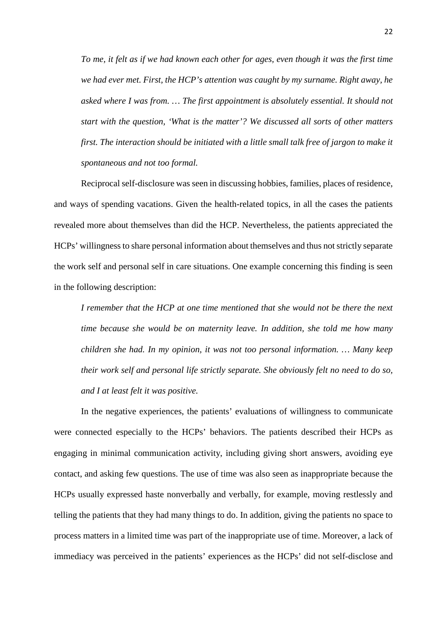*To me, it felt as if we had known each other for ages, even though it was the first time we had ever met. First, the HCP's attention was caught by my surname. Right away, he asked where I was from. … The first appointment is absolutely essential. It should not start with the question, 'What is the matter'? We discussed all sorts of other matters first. The interaction should be initiated with a little small talk free of jargon to make it spontaneous and not too formal.*

Reciprocal self-disclosure was seen in discussing hobbies, families, places of residence, and ways of spending vacations. Given the health-related topics, in all the cases the patients revealed more about themselves than did the HCP. Nevertheless, the patients appreciated the HCPs' willingness to share personal information about themselves and thus not strictly separate the work self and personal self in care situations. One example concerning this finding is seen in the following description:

*I remember that the HCP at one time mentioned that she would not be there the next time because she would be on maternity leave. In addition, she told me how many children she had. In my opinion, it was not too personal information. … Many keep their work self and personal life strictly separate. She obviously felt no need to do so, and I at least felt it was positive.*

In the negative experiences, the patients' evaluations of willingness to communicate were connected especially to the HCPs' behaviors. The patients described their HCPs as engaging in minimal communication activity, including giving short answers, avoiding eye contact, and asking few questions. The use of time was also seen as inappropriate because the HCPs usually expressed haste nonverbally and verbally, for example, moving restlessly and telling the patients that they had many things to do. In addition, giving the patients no space to process matters in a limited time was part of the inappropriate use of time. Moreover, a lack of immediacy was perceived in the patients' experiences as the HCPs' did not self-disclose and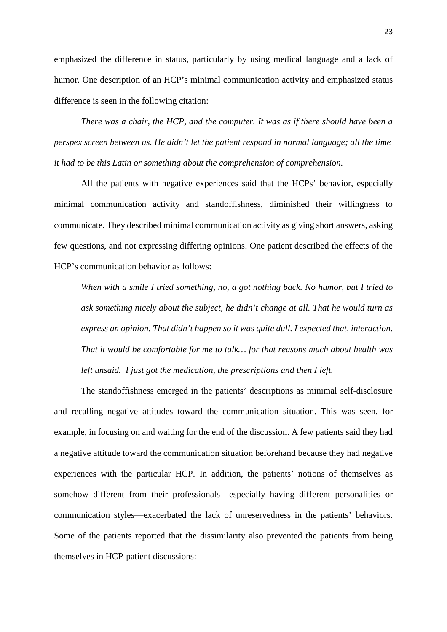emphasized the difference in status, particularly by using medical language and a lack of humor. One description of an HCP's minimal communication activity and emphasized status difference is seen in the following citation:

*There was a chair, the HCP, and the computer. It was as if there should have been a perspex screen between us. He didn't let the patient respond in normal language; all the time it had to be this Latin or something about the comprehension of comprehension.*

All the patients with negative experiences said that the HCPs' behavior, especially minimal communication activity and standoffishness, diminished their willingness to communicate. They described minimal communication activity as giving short answers, asking few questions, and not expressing differing opinions. One patient described the effects of the HCP's communication behavior as follows:

*When with a smile I tried something, no, a got nothing back. No humor, but I tried to ask something nicely about the subject, he didn't change at all. That he would turn as express an opinion. That didn't happen so it was quite dull. I expected that, interaction. That it would be comfortable for me to talk… for that reasons much about health was left unsaid. I just got the medication, the prescriptions and then I left.*

The standoffishness emerged in the patients' descriptions as minimal self-disclosure and recalling negative attitudes toward the communication situation. This was seen, for example, in focusing on and waiting for the end of the discussion. A few patients said they had a negative attitude toward the communication situation beforehand because they had negative experiences with the particular HCP. In addition, the patients' notions of themselves as somehow different from their professionals—especially having different personalities or communication styles—exacerbated the lack of unreservedness in the patients' behaviors. Some of the patients reported that the dissimilarity also prevented the patients from being themselves in HCP-patient discussions: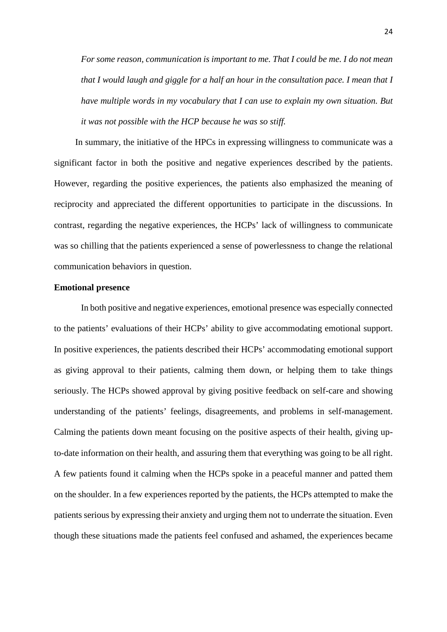*For some reason, communication is important to me. That I could be me. I do not mean that I would laugh and giggle for a half an hour in the consultation pace. I mean that I have multiple words in my vocabulary that I can use to explain my own situation. But it was not possible with the HCP because he was so stiff.*

In summary, the initiative of the HPCs in expressing willingness to communicate was a significant factor in both the positive and negative experiences described by the patients. However, regarding the positive experiences, the patients also emphasized the meaning of reciprocity and appreciated the different opportunities to participate in the discussions. In contrast, regarding the negative experiences, the HCPs' lack of willingness to communicate was so chilling that the patients experienced a sense of powerlessness to change the relational communication behaviors in question.

## **Emotional presence**

In both positive and negative experiences, emotional presence was especially connected to the patients' evaluations of their HCPs' ability to give accommodating emotional support. In positive experiences, the patients described their HCPs' accommodating emotional support as giving approval to their patients, calming them down, or helping them to take things seriously. The HCPs showed approval by giving positive feedback on self-care and showing understanding of the patients' feelings, disagreements, and problems in self-management. Calming the patients down meant focusing on the positive aspects of their health, giving upto-date information on their health, and assuring them that everything was going to be all right. A few patients found it calming when the HCPs spoke in a peaceful manner and patted them on the shoulder. In a few experiences reported by the patients, the HCPs attempted to make the patients serious by expressing their anxiety and urging them not to underrate the situation. Even though these situations made the patients feel confused and ashamed, the experiences became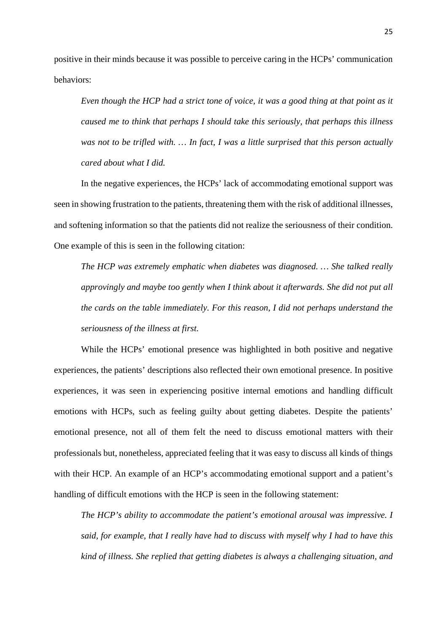positive in their minds because it was possible to perceive caring in the HCPs' communication behaviors:

*Even though the HCP had a strict tone of voice, it was a good thing at that point as it caused me to think that perhaps I should take this seriously, that perhaps this illness was not to be trifled with. … In fact, I was a little surprised that this person actually cared about what I did.*

In the negative experiences, the HCPs' lack of accommodating emotional support was seen in showing frustration to the patients, threatening them with the risk of additional illnesses, and softening information so that the patients did not realize the seriousness of their condition. One example of this is seen in the following citation:

*The HCP was extremely emphatic when diabetes was diagnosed. … She talked really approvingly and maybe too gently when I think about it afterwards. She did not put all the cards on the table immediately. For this reason, I did not perhaps understand the seriousness of the illness at first.*

While the HCPs' emotional presence was highlighted in both positive and negative experiences, the patients' descriptions also reflected their own emotional presence. In positive experiences, it was seen in experiencing positive internal emotions and handling difficult emotions with HCPs, such as feeling guilty about getting diabetes. Despite the patients' emotional presence, not all of them felt the need to discuss emotional matters with their professionals but, nonetheless, appreciated feeling that it was easy to discuss all kinds of things with their HCP. An example of an HCP's accommodating emotional support and a patient's handling of difficult emotions with the HCP is seen in the following statement:

*The HCP's ability to accommodate the patient's emotional arousal was impressive. I said, for example, that I really have had to discuss with myself why I had to have this kind of illness. She replied that getting diabetes is always a challenging situation, and*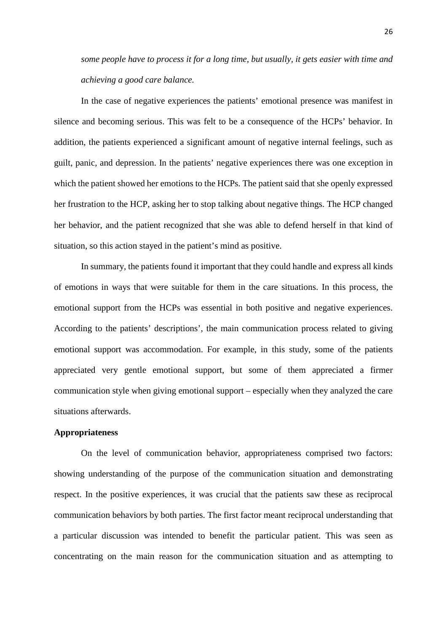*some people have to process it for a long time, but usually, it gets easier with time and achieving a good care balance.*

In the case of negative experiences the patients' emotional presence was manifest in silence and becoming serious. This was felt to be a consequence of the HCPs' behavior. In addition, the patients experienced a significant amount of negative internal feelings, such as guilt, panic, and depression. In the patients' negative experiences there was one exception in which the patient showed her emotions to the HCPs. The patient said that she openly expressed her frustration to the HCP, asking her to stop talking about negative things. The HCP changed her behavior, and the patient recognized that she was able to defend herself in that kind of situation, so this action stayed in the patient's mind as positive.

In summary, the patients found it important that they could handle and express all kinds of emotions in ways that were suitable for them in the care situations. In this process, the emotional support from the HCPs was essential in both positive and negative experiences. According to the patients' descriptions', the main communication process related to giving emotional support was accommodation. For example, in this study, some of the patients appreciated very gentle emotional support, but some of them appreciated a firmer communication style when giving emotional support – especially when they analyzed the care situations afterwards.

### **Appropriateness**

On the level of communication behavior, appropriateness comprised two factors: showing understanding of the purpose of the communication situation and demonstrating respect. In the positive experiences, it was crucial that the patients saw these as reciprocal communication behaviors by both parties. The first factor meant reciprocal understanding that a particular discussion was intended to benefit the particular patient. This was seen as concentrating on the main reason for the communication situation and as attempting to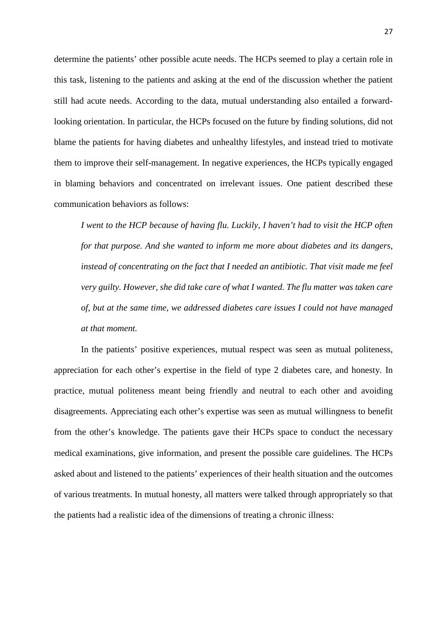determine the patients' other possible acute needs. The HCPs seemed to play a certain role in this task, listening to the patients and asking at the end of the discussion whether the patient still had acute needs. According to the data, mutual understanding also entailed a forwardlooking orientation. In particular, the HCPs focused on the future by finding solutions, did not blame the patients for having diabetes and unhealthy lifestyles, and instead tried to motivate them to improve their self-management. In negative experiences, the HCPs typically engaged in blaming behaviors and concentrated on irrelevant issues. One patient described these communication behaviors as follows:

*I went to the HCP because of having flu. Luckily, I haven't had to visit the HCP often for that purpose. And she wanted to inform me more about diabetes and its dangers, instead of concentrating on the fact that I needed an antibiotic. That visit made me feel very guilty. However, she did take care of what I wanted. The flu matter was taken care of, but at the same time, we addressed diabetes care issues I could not have managed at that moment.*

In the patients' positive experiences, mutual respect was seen as mutual politeness, appreciation for each other's expertise in the field of type 2 diabetes care, and honesty. In practice, mutual politeness meant being friendly and neutral to each other and avoiding disagreements. Appreciating each other's expertise was seen as mutual willingness to benefit from the other's knowledge. The patients gave their HCPs space to conduct the necessary medical examinations, give information, and present the possible care guidelines. The HCPs asked about and listened to the patients' experiences of their health situation and the outcomes of various treatments. In mutual honesty, all matters were talked through appropriately so that the patients had a realistic idea of the dimensions of treating a chronic illness: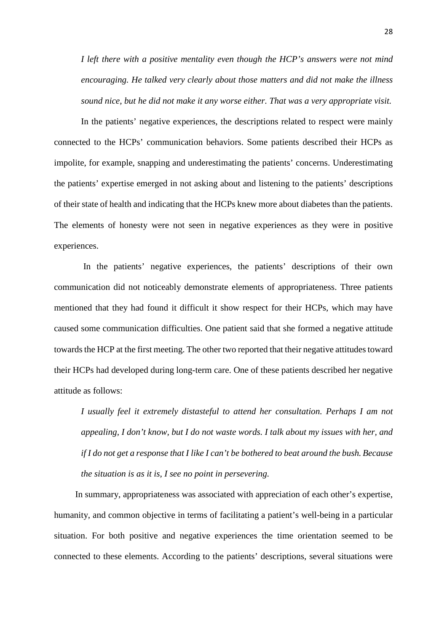*I left there with a positive mentality even though the HCP's answers were not mind encouraging. He talked very clearly about those matters and did not make the illness sound nice, but he did not make it any worse either. That was a very appropriate visit.*

In the patients' negative experiences, the descriptions related to respect were mainly connected to the HCPs' communication behaviors. Some patients described their HCPs as impolite, for example, snapping and underestimating the patients' concerns. Underestimating the patients' expertise emerged in not asking about and listening to the patients' descriptions of their state of health and indicating that the HCPs knew more about diabetes than the patients. The elements of honesty were not seen in negative experiences as they were in positive experiences.

In the patients' negative experiences, the patients' descriptions of their own communication did not noticeably demonstrate elements of appropriateness. Three patients mentioned that they had found it difficult it show respect for their HCPs, which may have caused some communication difficulties. One patient said that she formed a negative attitude towards the HCP at the first meeting. The other two reported that their negative attitudes toward their HCPs had developed during long-term care. One of these patients described her negative attitude as follows:

*I usually feel it extremely distasteful to attend her consultation. Perhaps I am not appealing, I don't know, but I do not waste words. I talk about my issues with her, and if I do not get a response that I like I can't be bothered to beat around the bush. Because the situation is as it is, I see no point in persevering.*

In summary, appropriateness was associated with appreciation of each other's expertise, humanity, and common objective in terms of facilitating a patient's well-being in a particular situation. For both positive and negative experiences the time orientation seemed to be connected to these elements. According to the patients' descriptions, several situations were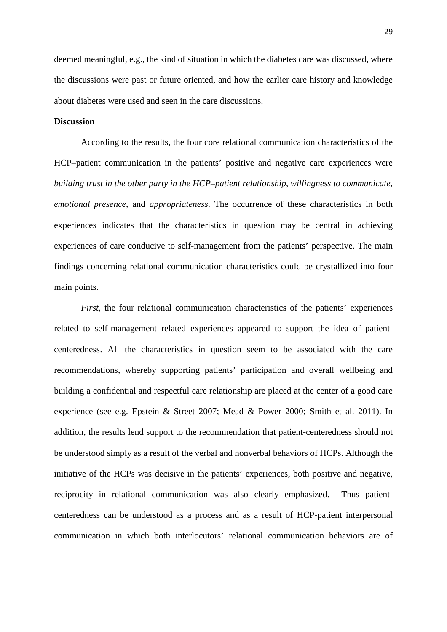deemed meaningful, e.g., the kind of situation in which the diabetes care was discussed, where the discussions were past or future oriented, and how the earlier care history and knowledge about diabetes were used and seen in the care discussions.

## **Discussion**

According to the results, the four core relational communication characteristics of the HCP–patient communication in the patients' positive and negative care experiences were *building trust in the other party in the HCP–patient relationship*, *willingness to communicate, emotional presence*, and *appropriateness*. The occurrence of these characteristics in both experiences indicates that the characteristics in question may be central in achieving experiences of care conducive to self-management from the patients' perspective. The main findings concerning relational communication characteristics could be crystallized into four main points.

*First*, the four relational communication characteristics of the patients' experiences related to self-management related experiences appeared to support the idea of patientcenteredness. All the characteristics in question seem to be associated with the care recommendations, whereby supporting patients' participation and overall wellbeing and building a confidential and respectful care relationship are placed at the center of a good care experience (see e.g. Epstein & Street 2007; Mead & Power 2000; Smith et al. 2011). In addition, the results lend support to the recommendation that patient-centeredness should not be understood simply as a result of the verbal and nonverbal behaviors of HCPs. Although the initiative of the HCPs was decisive in the patients' experiences, both positive and negative, reciprocity in relational communication was also clearly emphasized. Thus patientcenteredness can be understood as a process and as a result of HCP-patient interpersonal communication in which both interlocutors' relational communication behaviors are of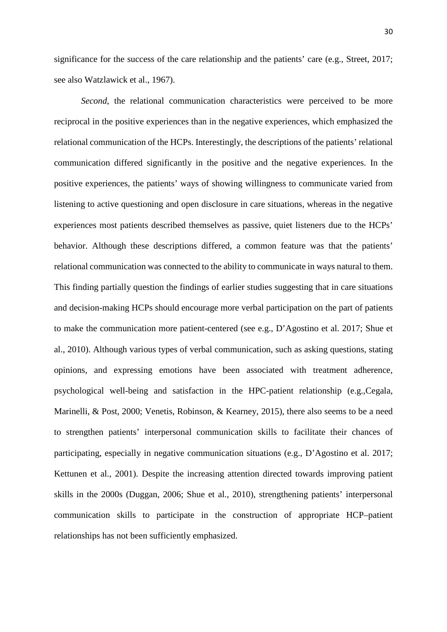significance for the success of the care relationship and the patients' care (e.g., Street, 2017; see also Watzlawick et al., 1967).

*Second*, the relational communication characteristics were perceived to be more reciprocal in the positive experiences than in the negative experiences, which emphasized the relational communication of the HCPs. Interestingly, the descriptions of the patients' relational communication differed significantly in the positive and the negative experiences. In the positive experiences, the patients' ways of showing willingness to communicate varied from listening to active questioning and open disclosure in care situations, whereas in the negative experiences most patients described themselves as passive, quiet listeners due to the HCPs' behavior. Although these descriptions differed, a common feature was that the patients' relational communication was connected to the ability to communicate in ways natural to them. This finding partially question the findings of earlier studies suggesting that in care situations and decision-making HCPs should encourage more verbal participation on the part of patients to make the communication more patient-centered (see e.g., D'Agostino et al. 2017; Shue et al., 2010). Although various types of verbal communication, such as asking questions, stating opinions, and expressing emotions have been associated with treatment adherence, psychological well-being and satisfaction in the HPC-patient relationship (e.g.,Cegala, Marinelli, & Post, 2000; Venetis, Robinson, & Kearney, 2015), there also seems to be a need to strengthen patients' interpersonal communication skills to facilitate their chances of participating, especially in negative communication situations (e.g., D'Agostino et al. 2017; Kettunen et al., 2001). Despite the increasing attention directed towards improving patient skills in the 2000s (Duggan, 2006; Shue et al., 2010), strengthening patients' interpersonal communication skills to participate in the construction of appropriate HCP–patient relationships has not been sufficiently emphasized.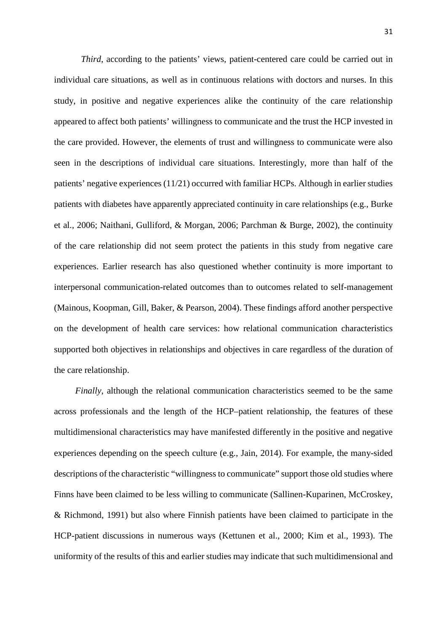*Third*, according to the patients' views, patient-centered care could be carried out in individual care situations, as well as in continuous relations with doctors and nurses. In this study, in positive and negative experiences alike the continuity of the care relationship appeared to affect both patients' willingness to communicate and the trust the HCP invested in the care provided. However, the elements of trust and willingness to communicate were also seen in the descriptions of individual care situations. Interestingly, more than half of the patients' negative experiences (11/21) occurred with familiar HCPs. Although in earlier studies patients with diabetes have apparently appreciated continuity in care relationships (e.g., Burke et al., 2006; Naithani, Gulliford, & Morgan, 2006; Parchman & Burge, 2002), the continuity of the care relationship did not seem protect the patients in this study from negative care experiences. Earlier research has also questioned whether continuity is more important to interpersonal communication-related outcomes than to outcomes related to self-management (Mainous, Koopman, Gill, Baker, & Pearson, 2004). These findings afford another perspective on the development of health care services: how relational communication characteristics supported both objectives in relationships and objectives in care regardless of the duration of the care relationship.

*Finally*, although the relational communication characteristics seemed to be the same across professionals and the length of the HCP–patient relationship, the features of these multidimensional characteristics may have manifested differently in the positive and negative experiences depending on the speech culture (e.g., Jain, 2014). For example, the many-sided descriptions of the characteristic "willingness to communicate" support those old studies where Finns have been claimed to be less willing to communicate (Sallinen-Kuparinen, McCroskey, & Richmond, 1991) but also where Finnish patients have been claimed to participate in the HCP-patient discussions in numerous ways (Kettunen et al., 2000; Kim et al., 1993). The uniformity of the results of this and earlier studies may indicate that such multidimensional and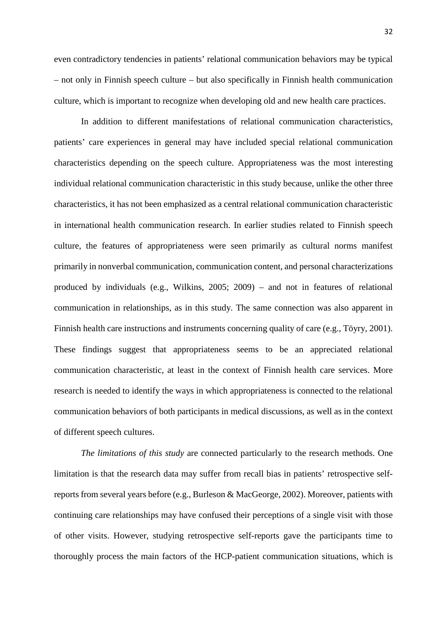even contradictory tendencies in patients' relational communication behaviors may be typical – not only in Finnish speech culture – but also specifically in Finnish health communication culture, which is important to recognize when developing old and new health care practices.

In addition to different manifestations of relational communication characteristics, patients' care experiences in general may have included special relational communication characteristics depending on the speech culture. Appropriateness was the most interesting individual relational communication characteristic in this study because, unlike the other three characteristics, it has not been emphasized as a central relational communication characteristic in international health communication research. In earlier studies related to Finnish speech culture, the features of appropriateness were seen primarily as cultural norms manifest primarily in nonverbal communication, communication content, and personal characterizations produced by individuals (e.g., Wilkins, 2005; 2009) – and not in features of relational communication in relationships, as in this study. The same connection was also apparent in Finnish health care instructions and instruments concerning quality of care (e.g., Töyry, 2001). These findings suggest that appropriateness seems to be an appreciated relational communication characteristic, at least in the context of Finnish health care services. More research is needed to identify the ways in which appropriateness is connected to the relational communication behaviors of both participants in medical discussions, as well as in the context of different speech cultures.

*The limitations of this study* are connected particularly to the research methods. One limitation is that the research data may suffer from recall bias in patients' retrospective selfreports from several years before (e.g., Burleson & MacGeorge, 2002). Moreover, patients with continuing care relationships may have confused their perceptions of a single visit with those of other visits. However, studying retrospective self-reports gave the participants time to thoroughly process the main factors of the HCP-patient communication situations, which is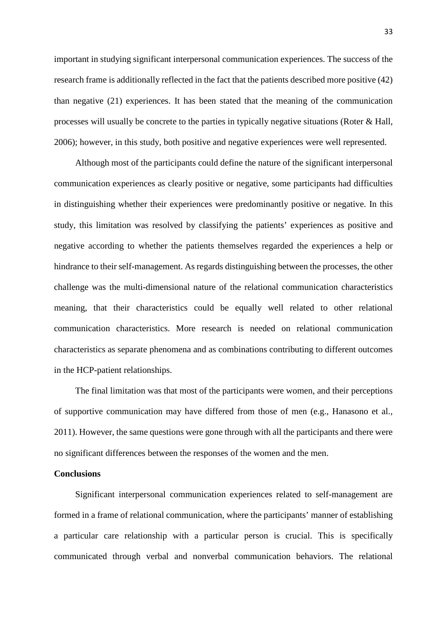important in studying significant interpersonal communication experiences. The success of the research frame is additionally reflected in the fact that the patients described more positive (42) than negative (21) experiences. It has been stated that the meaning of the communication processes will usually be concrete to the parties in typically negative situations (Roter & Hall, 2006); however, in this study, both positive and negative experiences were well represented.

Although most of the participants could define the nature of the significant interpersonal communication experiences as clearly positive or negative, some participants had difficulties in distinguishing whether their experiences were predominantly positive or negative. In this study, this limitation was resolved by classifying the patients' experiences as positive and negative according to whether the patients themselves regarded the experiences a help or hindrance to their self-management. As regards distinguishing between the processes, the other challenge was the multi-dimensional nature of the relational communication characteristics meaning, that their characteristics could be equally well related to other relational communication characteristics. More research is needed on relational communication characteristics as separate phenomena and as combinations contributing to different outcomes in the HCP-patient relationships.

The final limitation was that most of the participants were women, and their perceptions of supportive communication may have differed from those of men (e.g., Hanasono et al., 2011). However, the same questions were gone through with all the participants and there were no significant differences between the responses of the women and the men.

## **Conclusions**

Significant interpersonal communication experiences related to self-management are formed in a frame of relational communication, where the participants' manner of establishing a particular care relationship with a particular person is crucial. This is specifically communicated through verbal and nonverbal communication behaviors. The relational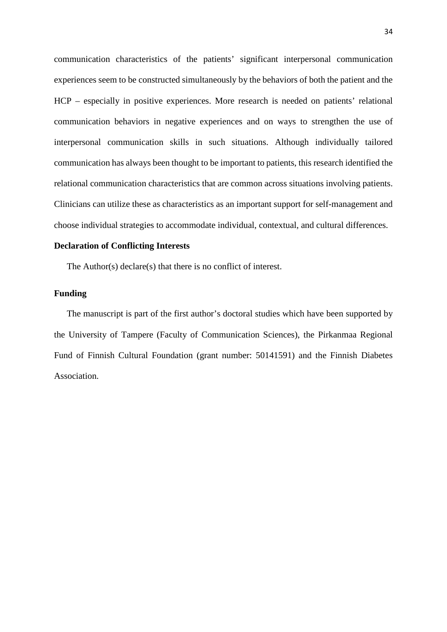communication characteristics of the patients' significant interpersonal communication experiences seem to be constructed simultaneously by the behaviors of both the patient and the HCP – especially in positive experiences. More research is needed on patients' relational communication behaviors in negative experiences and on ways to strengthen the use of interpersonal communication skills in such situations. Although individually tailored communication has always been thought to be important to patients, this research identified the relational communication characteristics that are common across situations involving patients. Clinicians can utilize these as characteristics as an important support for self-management and choose individual strategies to accommodate individual, contextual, and cultural differences.

#### **Declaration of Conflicting Interests**

The Author(s) declare(s) that there is no conflict of interest.

## **Funding**

The manuscript is part of the first author's doctoral studies which have been supported by the University of Tampere (Faculty of Communication Sciences), the Pirkanmaa Regional Fund of Finnish Cultural Foundation (grant number: 50141591) and the Finnish Diabetes Association.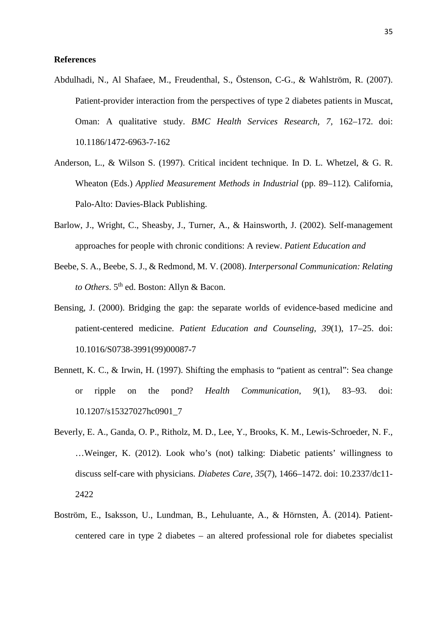#### **References**

- Abdulhadi, N., Al Shafaee, M., Freudenthal, S., Östenson, C-G., & Wahlström, R. (2007). Patient-provider interaction from the perspectives of type 2 diabetes patients in Muscat, Oman: A qualitative study. *BMC Health Services Research, 7*, 162–172. doi: 10.1186/1472-6963-7-162
- Anderson, L., & Wilson S. (1997). Critical incident technique. In D. L. Whetzel, & G. R. Wheaton (Eds.) *Applied Measurement Methods in Industrial* (pp. 89–112)*.* California, Palo-Alto: Davies-Black Publishing.
- Barlow, J., Wright, C., Sheasby, J., Turner, A., & Hainsworth, J. (2002). Self-management approaches for people with chronic conditions: A review. *Patient Education and*
- Beebe, S. A., Beebe, S. J., & Redmond, M. V. (2008). *Interpersonal Communication: Relating*  to Others. 5<sup>th</sup> ed. Boston: Allyn & Bacon.
- Bensing, J. (2000). Bridging the gap: the separate worlds of evidence-based medicine and patient-centered medicine. *Patient Education and Counseling, 39*(1), 17–25. doi: 10.1016/S0738-3991(99)00087-7
- Bennett, K. C., & Irwin, H. (1997). Shifting the emphasis to "patient as central": Sea change or ripple on the pond? *Health Communication*, *9*(1), 83–93. doi: 10.1207/s15327027hc0901\_7
- Beverly, E. A., Ganda, O. P., Ritholz, M. D., Lee, Y., Brooks, K. M., Lewis-Schroeder, N. F., …Weinger, K. (2012). Look who's (not) talking: Diabetic patients' willingness to discuss self-care with physicians*. Diabetes Care, 35*(7), 1466–1472. doi: 10.2337/dc11- 2422
- Boström, E., Isaksson, U., Lundman, B., Lehuluante, A., & Hörnsten, Å. (2014). Patientcentered care in type 2 diabetes – an altered professional role for diabetes specialist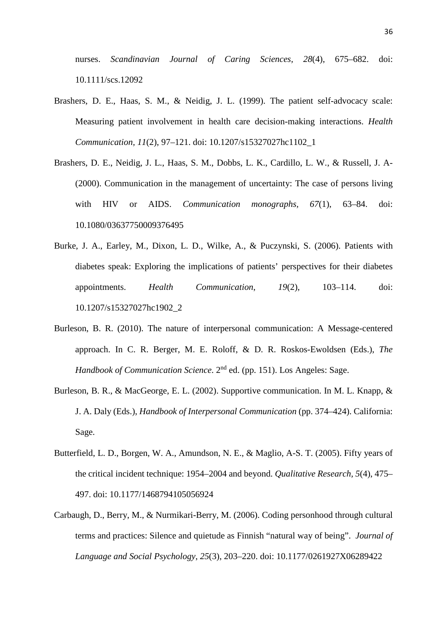nurses. *Scandinavian Journal of Caring Sciences, 28*(4), 675–682. doi: 10.1111/scs.12092

- Brashers, D. E., Haas, S. M., & Neidig, J. L. (1999). The patient self-advocacy scale: Measuring patient involvement in health care decision-making interactions. *Health Communication, 11*(2), 97–121. doi: 10.1207/s15327027hc1102\_1
- Brashers, D. E., Neidig, J. L., Haas, S. M., Dobbs, L. K., Cardillo, L. W., & Russell, J. A- (2000). Communication in the management of uncertainty: The case of persons living with HIV or AIDS. *Communication monographs*, 67(1), 63–84. doi: 10.1080/03637750009376495
- Burke, J. A., Earley, M., Dixon, L. D., Wilke, A., & Puczynski, S. (2006). Patients with diabetes speak: Exploring the implications of patients' perspectives for their diabetes appointments. *Health Communication*, *19*(2), 103–114. doi: 10.1207/s15327027hc1902\_2
- Burleson, B. R. (2010). The nature of interpersonal communication: A Message-centered approach. In C. R. Berger, M. E. Roloff, & D. R. Roskos-Ewoldsen (Eds.), *The Handbook of Communication Science.* 2<sup>nd</sup> ed. (pp. 151). Los Angeles: Sage.
- Burleson, B. R., & MacGeorge, E. L. (2002). Supportive communication. In M. L. Knapp, & J. A. Daly (Eds.), *Handbook of Interpersonal Communication* (pp. 374–424). California: Sage.
- Butterfield, L. D., Borgen, W. A., Amundson, N. E., & Maglio, A-S. T. (2005). Fifty years of the critical incident technique: 1954–2004 and beyond. *Qualitative Research, 5*(4), 475– 497. doi: 10.1177/1468794105056924
- Carbaugh, D., Berry, M., & Nurmikari-Berry, M. (2006). Coding personhood through cultural terms and practices: Silence and quietude as Finnish "natural way of being". *Journal of Language and Social Psychology*, *25*(3), 203–220. doi: 10.1177/0261927X06289422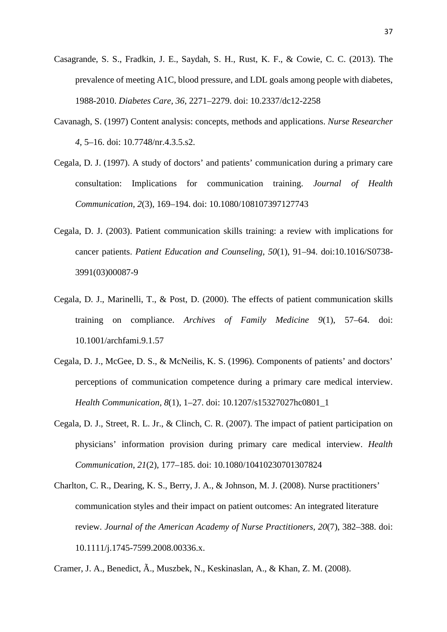- Casagrande, S. S., Fradkin, J. E., Saydah, S. H., Rust, K. F., & Cowie, C. C. (2013). The prevalence of meeting A1C, blood pressure, and LDL goals among people with diabetes, 1988-2010. *Diabetes Care, 36*, 2271–2279. doi: 10.2337/dc12-2258
- Cavanagh, S. (1997) Content analysis: concepts, methods and applications. *Nurse Researcher 4*, 5–16. doi: 10.7748/nr.4.3.5.s2.
- Cegala, D. J. (1997). A study of doctors' and patients' communication during a primary care consultation: Implications for communication training. *Journal of Health Communication, 2*(3), 169–194. doi: 10.1080/108107397127743
- Cegala, D. J. (2003). Patient communication skills training: a review with implications for cancer patients. *Patient Education and Counseling, 50*(1), 91–94. doi:10.1016/S0738- 3991(03)00087-9
- Cegala, D. J., Marinelli, T., & Post, D. (2000). The effects of patient communication skills training on compliance. *Archives of Family Medicine 9*(1), 57–64. doi: 10.1001/archfami.9.1.57
- Cegala, D. J., McGee, D. S., & McNeilis, K. S. (1996). Components of patients' and doctors' perceptions of communication competence during a primary care medical interview. *Health Communication, 8*(1), 1–27. doi: 10.1207/s15327027hc0801\_1
- Cegala, D. J., Street, R. L. Jr., & Clinch, C. R. (2007). The impact of patient participation on physicians' information provision during primary care medical interview. *Health Communication*, *21*(2), 177–185. doi: 10.1080/10410230701307824
- Charlton, C. R., Dearing, K. S., Berry, J. A., & Johnson, M. J. (2008). Nurse practitioners' communication styles and their impact on patient outcomes: An integrated literature review. *Journal of the American Academy of Nurse Practitioners, 20*(7), 382–388. doi: 10.1111/j.1745-7599.2008.00336.x.
- Cramer, J. A., Benedict, Ã., Muszbek, N., Keskinaslan, A., & Khan, Z. M. (2008).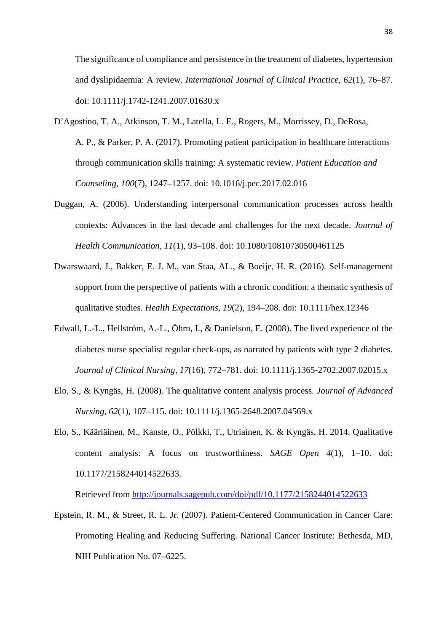The significance of compliance and persistence in the treatment of diabetes, hypertension and dyslipidaemia: A review. *International Journal of Clinical Practice*, *62*(1), 76–87. doi: 10.1111/j.1742-1241.2007.01630.x

- D'Agostino, T. A., Atkinson, T. M., Latella, L. E., Rogers, M., Morrissey, D., DeRosa, A. P., & Parker, P. A. (2017). Promoting patient participation in healthcare interactions through communication skills training: A systematic review. *Patient Education and Counseling, 100*(7), 1247–1257. doi: 10.1016/j.pec.2017.02.016
- Duggan, A. (2006). Understanding interpersonal communication processes across health contexts: Advances in the last decade and challenges for the next decade. *Journal of Health Communication, 11*(1), 93–108. doi: 10.1080/10810730500461125
- Dwarswaard, J., Bakker, E. J. M., van Staa, AL., & Boeije, H. R. (2016). Self-management support from the perspective of patients with a chronic condition: a thematic synthesis of qualitative studies. *Health Expectations, 19*(2), 194–208. doi: 10.1111/hex.12346
- Edwall, L.-L., Hellström, A.-L., Öhrn, I., & Danielson, E. (2008). The lived experience of the diabetes nurse specialist regular check-ups, as narrated by patients with type 2 diabetes. *Journal of Clinical Nursing*, *17*(16), 772–781. doi: 10.1111/j.1365-2702.2007.02015.x
- Elo, S., & Kyngäs, H. (2008). The qualitative content analysis process. *Journal of Advanced Nursing, 62*(1), 107–115. doi: 10.1111/j.1365-2648.2007.04569.x
- Elo, S., Kääriäinen, M., Kanste, O., Pölkki, T., Utriainen, K. & Kyngäs, H. 2014. Qualitative content analysis: A focus on trustworthiness. *SAGE Open 4*(1), 1–10. doi: 10.1177/2158244014522633.

Retrieved from <http://journals.sagepub.com/doi/pdf/10.1177/2158244014522633>

Epstein, R. M., & Street, R. L. Jr. (2007). Patient-Centered Communication in Cancer Care: Promoting Healing and Reducing Suffering. National Cancer Institute: Bethesda, MD, NIH Publication No. 07–6225.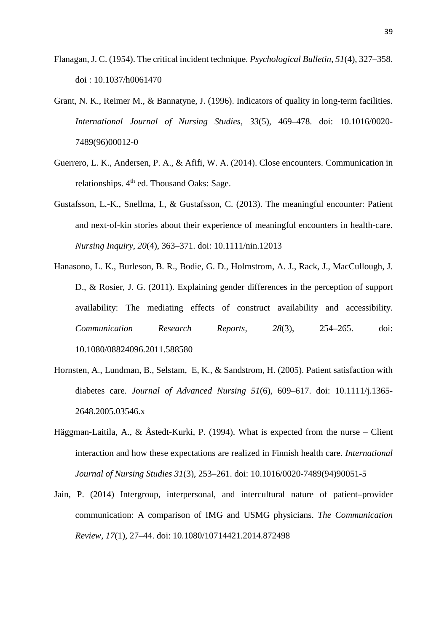- Flanagan, J. C. (1954). The critical incident technique. *Psychological Bulletin*, *51*(4), 327–358. doi : 10.1037/h0061470
- Grant, N. K., Reimer M., & Bannatyne, J. (1996). Indicators of quality in long-term facilities. *International Journal of Nursing Studies, 33*(5), 469–478. doi: 10.1016/0020- 7489(96)00012-0
- Guerrero, L. K., Andersen, P. A., & Afifi, W. A. (2014). Close encounters. Communication in relationships. 4<sup>th</sup> ed. Thousand Oaks: Sage.
- Gustafsson, L.-K., Snellma, I., & Gustafsson, C. (2013). The meaningful encounter: Patient and next-of-kin stories about their experience of meaningful encounters in health-care. *Nursing Inquiry*, *20*(4), 363–371. doi: 10.1111/nin.12013
- Hanasono, L. K., Burleson, B. R., Bodie, G. D., Holmstrom, A. J., Rack, J., MacCullough, J. D., & Rosier, J. G. (2011). Explaining gender differences in the perception of support availability: The mediating effects of construct availability and accessibility. *Communication Research Reports, 28*(3), 254–265. doi: 10.1080/08824096.2011.588580
- Hornsten, A., Lundman, B., Selstam, E, K., & Sandstrom, H. (2005). Patient satisfaction with diabetes care. *Journal of Advanced Nursing 51*(6), 609–617. doi: 10.1111/j.1365- 2648.2005.03546.x
- Häggman-Laitila, A., & Åstedt-Kurki, P. (1994). What is expected from the nurse Client interaction and how these expectations are realized in Finnish health care. *International Journal of Nursing Studies 31*(3), 253–261. doi: 10.1016/0020-7489(94)90051-5
- Jain, P. (2014) Intergroup, interpersonal, and intercultural nature of patient–provider communication: A comparison of IMG and USMG physicians. *The Communication Review*, *17*(1), 27–44. doi: 10.1080/10714421.2014.872498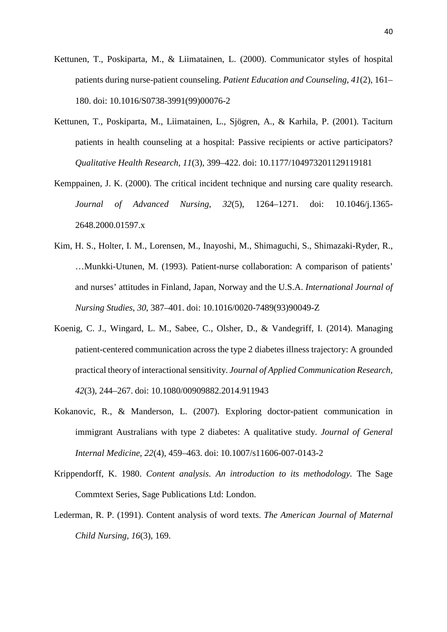- Kettunen, T., Poskiparta, M., & Liimatainen, L. (2000). Communicator styles of hospital patients during nurse-patient counseling. *Patient Education and Counseling*, *41*(2), 161– 180. doi: 10.1016/S0738-3991(99)00076-2
- Kettunen, T., Poskiparta, M., Liimatainen, L., Sjögren, A., & Karhila, P. (2001). Taciturn patients in health counseling at a hospital: Passive recipients or active participators? *Qualitative Health Research, 11*(3), 399–422. doi: 10.1177/104973201129119181
- Kemppainen, J. K. (2000). The critical incident technique and nursing care quality research. *Journal of Advanced Nursing*, *32*(5), 1264–1271. doi: 10.1046/j.1365- 2648.2000.01597.x
- Kim, H. S., Holter, I. M., Lorensen, M., Inayoshi, M., Shimaguchi, S., Shimazaki-Ryder, R., …Munkki-Utunen, M. (1993). Patient-nurse collaboration: A comparison of patients' and nurses' attitudes in Finland, Japan, Norway and the U.S.A. *International Journal of Nursing Studies*, *30*, 387–401. doi: 10.1016/0020-7489(93)90049-Z
- Koenig, C. J., Wingard, L. M., Sabee, C., Olsher, D., & Vandegriff, I. (2014). Managing patient-centered communication across the type 2 diabetes illness trajectory: A grounded practical theory of interactional sensitivity. *Journal of Applied Communication Research, 42*(3), 244–267. doi: 10.1080/00909882.2014.911943
- Kokanovic, R., & Manderson, L. (2007). Exploring doctor-patient communication in immigrant Australians with type 2 diabetes: A qualitative study. *Journal of General Internal Medicine*, *22*(4), 459–463. doi: 10.1007/s11606-007-0143-2
- Krippendorff, K. 1980. *Content analysis. An introduction to its methodology.* The Sage Commtext Series, Sage Publications Ltd: London.
- Lederman, R. P. (1991). Content analysis of word texts. *The American Journal of Maternal Child Nursing, 16*(3), 169.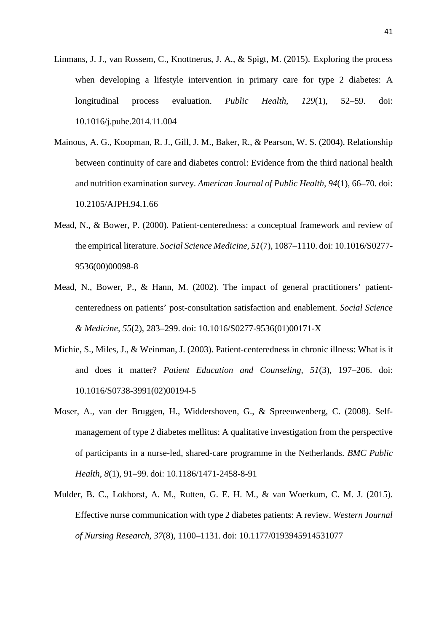- Linmans, J. J., van Rossem, C., Knottnerus, J. A., & Spigt, M. (2015). Exploring the process when developing a lifestyle intervention in primary care for type 2 diabetes: A longitudinal process evaluation. *Public Health, 129*(1), 52–59. doi: 10.1016/j.puhe.2014.11.004
- Mainous, A. G., Koopman, R. J., Gill, J. M., Baker, R., & Pearson, W. S. (2004). Relationship between continuity of care and diabetes control: Evidence from the third national health and nutrition examination survey. *American Journal of Public Health, 94*(1), 66–70. doi: 10.2105/AJPH.94.1.66
- Mead, N., & Bower, P. (2000). Patient-centeredness: a conceptual framework and review of the empirical literature. *Social Science Medicine, 51*(7), 1087–1110. doi: 10.1016/S0277- 9536(00)00098-8
- Mead, N., Bower, P., & Hann, M. (2002). The impact of general practitioners' patientcenteredness on patients' post-consultation satisfaction and enablement. *Social Science & Medicine, 55*(2), 283–299. doi: 10.1016/S0277-9536(01)00171-X
- Michie, S., Miles, J., & Weinman, J. (2003). Patient-centeredness in chronic illness: What is it and does it matter? *Patient Education and Counseling, 51*(3), 197–206. doi: 10.1016/S0738-3991(02)00194-5
- Moser, A., van der Bruggen, H., Widdershoven, G., & Spreeuwenberg, C. (2008). Selfmanagement of type 2 diabetes mellitus: A qualitative investigation from the perspective of participants in a nurse-led, shared-care programme in the Netherlands. *BMC Public Health*, *8*(1), 91–99. doi: 10.1186/1471-2458-8-91
- Mulder, B. C., Lokhorst, A. M., Rutten, G. E. H. M., & van Woerkum, C. M. J. (2015). Effective nurse communication with type 2 diabetes patients: A review. *Western Journal of Nursing Research, 37*(8), 1100–1131. doi: 10.1177/0193945914531077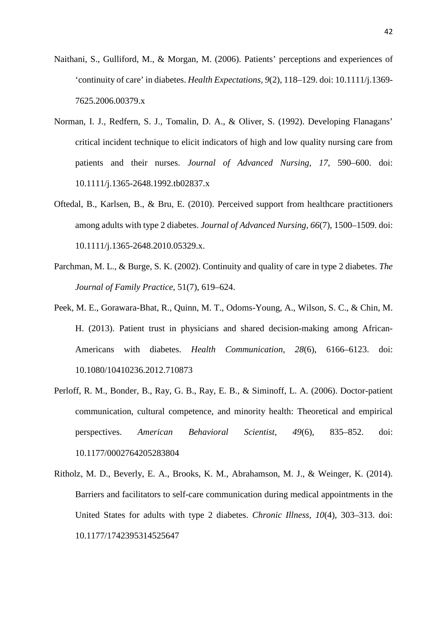- Naithani, S., Gulliford, M., & Morgan, M. (2006). Patients' perceptions and experiences of 'continuity of care' in diabetes. *Health Expectations, 9*(2), 118–129. doi: 10.1111/j.1369- 7625.2006.00379.x
- Norman, I. J., Redfern, S. J., Tomalin, D. A., & Oliver, S. (1992). Developing Flanagans' critical incident technique to elicit indicators of high and low quality nursing care from patients and their nurses. *Journal of Advanced Nursing, 17*, 590–600. doi: 10.1111/j.1365-2648.1992.tb02837.x
- Oftedal, B., Karlsen, B., & Bru, E. (2010). Perceived support from healthcare practitioners among adults with type 2 diabetes. *Journal of Advanced Nursing, 66*(7), 1500–1509. doi: 10.1111/j.1365-2648.2010.05329.x.
- Parchman, M. L., & Burge, S. K. (2002). Continuity and quality of care in type 2 diabetes. *The Journal of Family Practice,* 51(7), 619–624.
- Peek, M. E., Gorawara-Bhat, R., Quinn, M. T., Odoms-Young, A., Wilson, S. C., & Chin, M. H. (2013). Patient trust in physicians and shared decision-making among African-Americans with diabetes. *Health Communication, 28*(6), 6166–6123. doi: 10.1080/10410236.2012.710873
- Perloff, R. M., Bonder, B., Ray, G. B., Ray, E. B., & Siminoff, L. A. (2006). Doctor-patient communication, cultural competence, and minority health: Theoretical and empirical perspectives. *American Behavioral Scientist, 49*(6), 835–852. doi: 10.1177/0002764205283804
- Ritholz, M. D., Beverly, E. A., Brooks, K. M., Abrahamson, M. J., & Weinger, K. (2014). Barriers and facilitators to self-care communication during medical appointments in the United States for adults with type 2 diabetes. *Chronic Illness, 10*(4), 303–313. doi: 10.1177/1742395314525647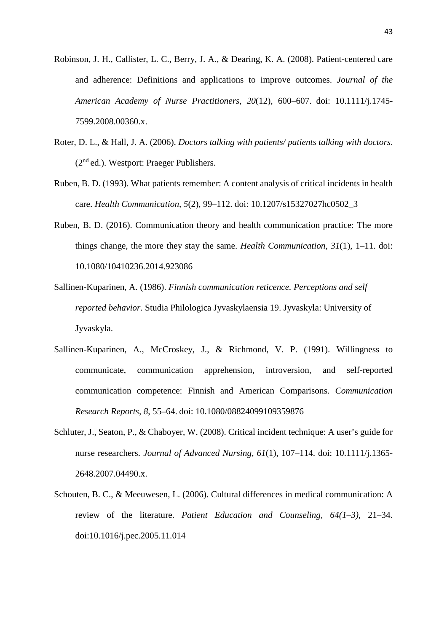- Robinson, J. H., Callister, L. C., Berry, J. A., & Dearing, K. A. (2008). Patient-centered care and adherence: Definitions and applications to improve outcomes. *Journal of the American Academy of Nurse Practitioners*, *20*(12), 600–607. doi: 10.1111/j.1745- 7599.2008.00360.x.
- Roter, D. L., & Hall, J. A. (2006). *Doctors talking with patients/ patients talking with doctors*. (2nd ed.). Westport: Praeger Publishers.
- Ruben, B. D. (1993). What patients remember: A content analysis of critical incidents in health care. *Health Communication, 5*(2), 99–112. doi: 10.1207/s15327027hc0502\_3
- Ruben, B. D. (2016). Communication theory and health communication practice: The more things change, the more they stay the same. *Health Communication, 31*(1), 1–11. doi: 10.1080/10410236.2014.923086
- Sallinen-Kuparinen, A. (1986). *Finnish communication reticence. Perceptions and self reported behavior.* Studia Philologica Jyvaskylaensia 19. Jyvaskyla: University of Jyvaskyla.
- Sallinen-Kuparinen, A., McCroskey, J., & Richmond, V. P. (1991). Willingness to communicate, communication apprehension, introversion, and self-reported communication competence: Finnish and American Comparisons. *Communication Research Reports, 8*, 55–64. doi: 10.1080/08824099109359876
- Schluter, J., Seaton, P., & Chaboyer, W. (2008). Critical incident technique: A user's guide for nurse researchers. *Journal of Advanced Nursing, 61*(1), 107–114. doi: 10.1111/j.1365- 2648.2007.04490.x.
- Schouten, B. C., & Meeuwesen, L. (2006). Cultural differences in medical communication: A review of the literature. *Patient Education and Counseling, 64(1*–*3)*, 21–34. doi:10.1016/j.pec.2005.11.014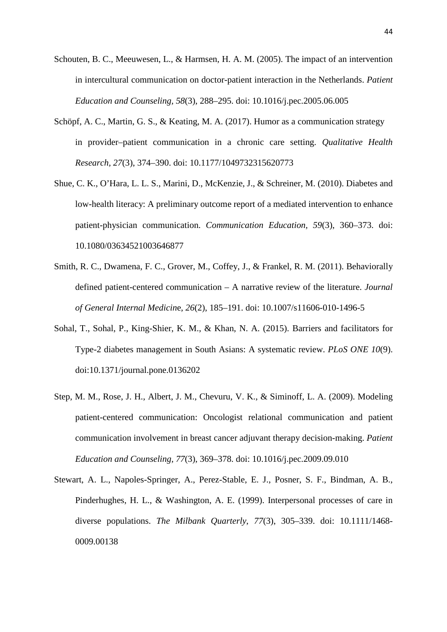- Schouten, B. C., Meeuwesen, L., & Harmsen, H. A. M. (2005). The impact of an intervention in intercultural communication on doctor-patient interaction in the Netherlands. *Patient Education and Counseling, 58*(3), 288–295. doi: 10.1016/j.pec.2005.06.005
- Schöpf, A. C., Martin, G. S., & Keating, M. A. (2017). Humor as a communication strategy in provider–patient communication in a chronic care setting. *Qualitative Health Research, 27*(3), 374–390. doi: 10.1177/1049732315620773
- Shue, C. K., O'Hara, L. L. S., Marini, D., McKenzie, J., & Schreiner, M. (2010). Diabetes and low-health literacy: A preliminary outcome report of a mediated intervention to enhance patient-physician communication. *Communication Education, 59*(3), 360–373. doi: 10.1080/03634521003646877
- Smith, R. C., Dwamena, F. C., Grover, M., Coffey, J., & Frankel, R. M. (2011). Behaviorally defined patient-centered communication – A narrative review of the literature. *Journal of General Internal Medicin*e, *26*(2), 185–191. doi: 10.1007/s11606-010-1496-5
- Sohal, T., Sohal, P., King-Shier, K. M., & Khan, N. A. (2015). Barriers and facilitators for Type-2 diabetes management in South Asians: A systematic review. *PLoS ONE 10*(9). doi:10.1371/journal.pone.0136202
- Step, M. M., Rose, J. H., Albert, J. M., Chevuru, V. K., & Siminoff, L. A. (2009). Modeling patient-centered communication: Oncologist relational communication and patient communication involvement in breast cancer adjuvant therapy decision-making. *Patient Education and Counseling, 77*(3), 369–378. doi: 10.1016/j.pec.2009.09.010
- Stewart, A. L., Napoles-Springer, A., Perez-Stable, E. J., Posner, S. F., Bindman, A. B., Pinderhughes, H. L., & Washington, A. E. (1999). Interpersonal processes of care in diverse populations. *The Milbank Quarterly*, *77*(3), 305–339. doi: 10.1111/1468- 0009.00138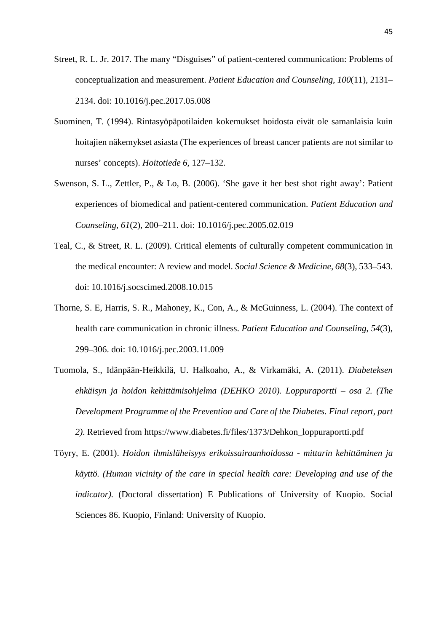- Street, R. L. Jr. 2017. The many "Disguises" of patient-centered communication: Problems of conceptualization and measurement. *Patient Education and Counseling, 100*(11), 2131– 2134. doi: 10.1016/j.pec.2017.05.008
- Suominen, T. (1994). Rintasyöpäpotilaiden kokemukset hoidosta eivät ole samanlaisia kuin hoitajien näkemykset asiasta (The experiences of breast cancer patients are not similar to nurses' concepts). *Hoitotiede 6*, 127–132.
- Swenson, S. L., Zettler, P., & Lo, B. (2006). 'She gave it her best shot right away': Patient experiences of biomedical and patient-centered communication. *Patient Education and Counseling, 61*(2), 200–211. doi: 10.1016/j.pec.2005.02.019
- Teal, C., & Street, R. L. (2009). Critical elements of culturally competent communication in the medical encounter: A review and model. *Social Science & Medicine, 68*(3), 533–543. doi: 10.1016/j.socscimed.2008.10.015
- Thorne, S. E, Harris, S. R., Mahoney, K., Con, A., & McGuinness, L. (2004). The context of health care communication in chronic illness. *Patient Education and Counseling*, *54*(3), 299–306. doi: 10.1016/j.pec.2003.11.009
- Tuomola, S., Idänpään-Heikkilä, U. Halkoaho, A., & Virkamäki, A. (2011). *Diabeteksen ehkäisyn ja hoidon kehittämisohjelma (DEHKO 2010). Loppuraportti – osa 2. (The Development Programme of the Prevention and Care of the Diabetes. Final report, part 2)*. Retrieved from https://www.diabetes.fi/files/1373/Dehkon\_loppuraportti.pdf
- Töyry, E. (2001). *Hoidon ihmisläheisyys erikoissairaanhoidossa - mittarin kehittäminen ja käyttö. (Human vicinity of the care in special health care: Developing and use of the indicator).* (Doctoral dissertation) E Publications of University of Kuopio. Social Sciences 86. Kuopio, Finland: University of Kuopio.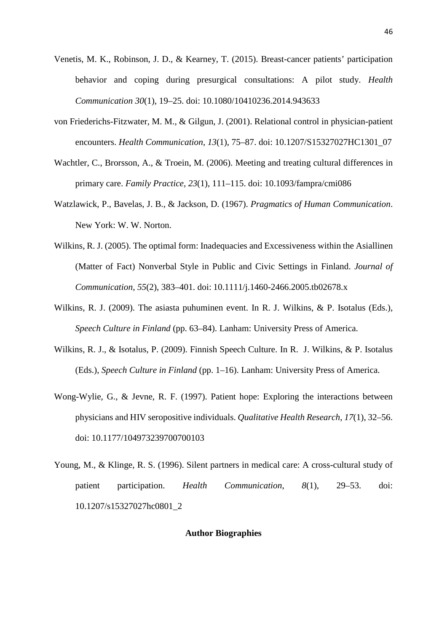- Venetis, M. K., Robinson, J. D., & Kearney, T. (2015). Breast-cancer patients' participation behavior and coping during presurgical consultations: A pilot study. *Health Communication 30*(1), 19–25. doi: 10.1080/10410236.2014.943633
- von Friederichs-Fitzwater, M. M., & Gilgun, J. (2001). Relational control in physician-patient encounters. *Health Communication, 13*(1), 75–87. doi: 10.1207/S15327027HC1301\_07
- Wachtler, C., Brorsson, A., & Troein, M. (2006). Meeting and treating cultural differences in primary care. *Family Practice, 23*(1), 111–115. doi: 10.1093/fampra/cmi086
- Watzlawick, P., Bavelas, J. B., & Jackson, D. (1967). *Pragmatics of Human Communication*. New York: W. W. Norton.
- Wilkins, R. J. (2005). The optimal form: Inadequacies and Excessiveness within the Asiallinen (Matter of Fact) Nonverbal Style in Public and Civic Settings in Finland. *Journal of Communication, 55*(2), 383–401. doi: 10.1111/j.1460-2466.2005.tb02678.x
- Wilkins, R. J. (2009). The asiasta puhuminen event. In R. J. Wilkins, & P. Isotalus (Eds.), *Speech Culture in Finland* (pp. 63–84). Lanham: University Press of America.
- Wilkins, R. J., & Isotalus, P. (2009). Finnish Speech Culture. In R. J. Wilkins, & P. Isotalus (Eds.), *Speech Culture in Finland* (pp. 1–16). Lanham: University Press of America.
- Wong-Wylie, G., & Jevne, R. F. (1997). Patient hope: Exploring the interactions between physicians and HIV seropositive individuals. *Qualitative Health Research*, *17*(1), 32–56. doi: 10.1177/104973239700700103
- Young, M., & Klinge, R. S. (1996). Silent partners in medical care: A cross-cultural study of patient participation. *Health Communication*, *8*(1), 29–53. doi: 10.1207/s15327027hc0801\_2

## **Author Biographies**